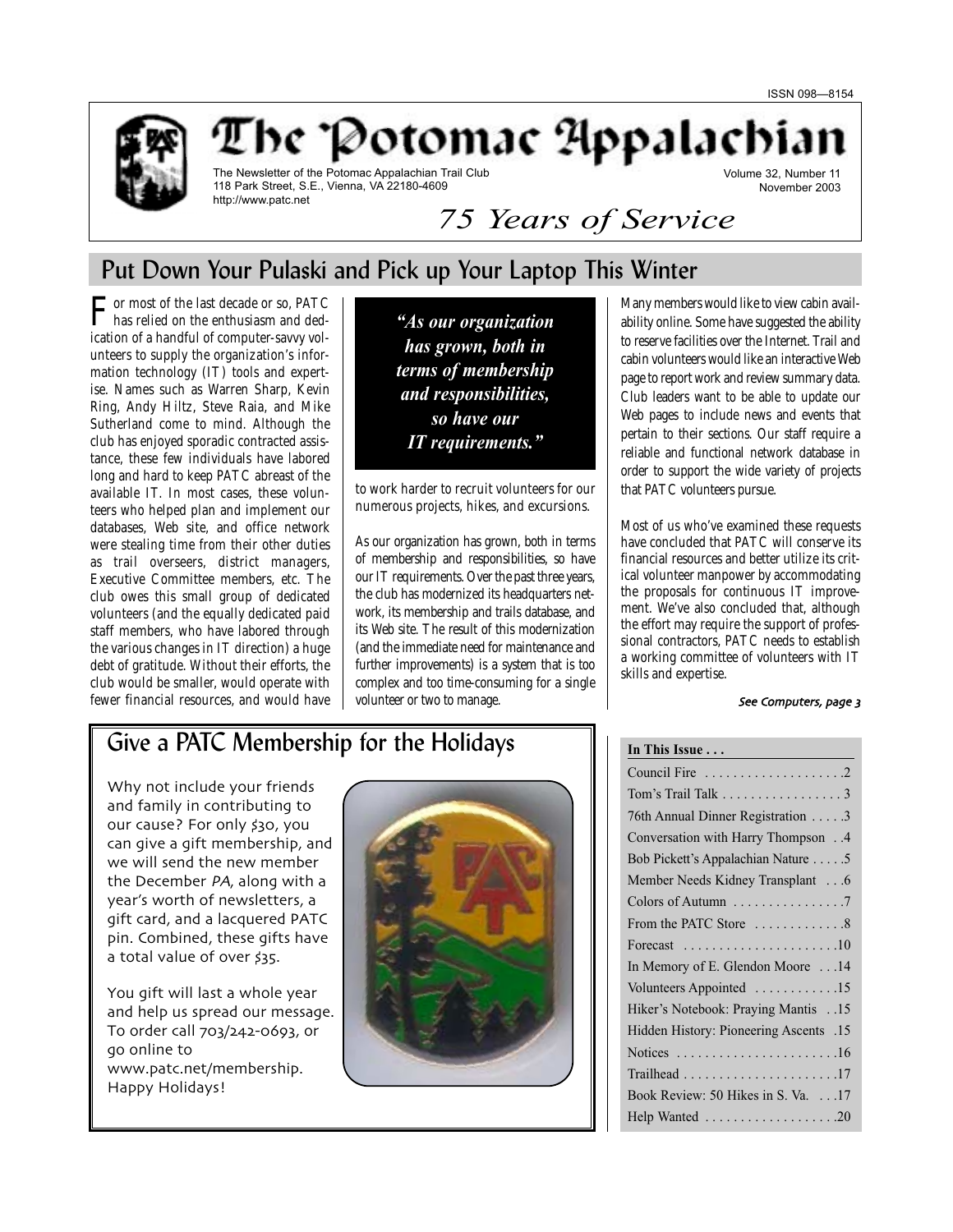Volume 32, Number 11



The 'Potomac Appalachia

The Newsletter of the Potomac Appalachian Trail Club 118 Park Street, S.E., Vienna, VA 22180-4609 http://www.patc.net

November 2003 *75 Years of Service*

# Put Down Your Pulaski and Pick up Your Laptop This Winter

 $\Gamma$  has relied on the enthusiasm and dedication of a handful of computer-savvy volunteers to supply the organization's information technology (IT) tools and expertise. Names such as Warren Sharp, Kevin Ring, Andy Hiltz, Steve Raia, and Mike Sutherland come to mind. Although the club has enjoyed sporadic contracted assistance, these few individuals have labored long and hard to keep PATC abreast of the available IT. In most cases, these volunteers who helped plan and implement our databases, Web site, and office network were stealing time from their other duties as trail overseers, district managers, Executive Committee members, etc. The club owes this small group of dedicated volunteers (and the equally dedicated paid staff members, who have labored through the various changes in IT direction) a huge debt of gratitude. Without their efforts, the club would be smaller, would operate with fewer financial resources, and would have

*"As our organization has grown, both in terms of membership and responsibilities, so have our IT requirements."*

to work harder to recruit volunteers for our numerous projects, hikes, and excursions.

As our organization has grown, both in terms of membership and responsibilities, so have our IT requirements. Over the past three years, the club has modernized its headquarters network, its membership and trails database, and its Web site. The result of this modernization (and the immediate need for maintenance and further improvements) is a system that is too complex and too time-consuming for a single volunteer or two to manage.

Many members would like to view cabin availability online. Some have suggested the ability to reserve facilities over the Internet. Trail and cabin volunteers would like an interactive Web page to report work and review summary data. Club leaders want to be able to update our Web pages to include news and events that pertain to their sections. Our staff require a reliable and functional network database in order to support the wide variety of projects that PATC volunteers pursue.

Most of us who've examined these requests have concluded that PATC will conserve its financial resources and better utilize its critical volunteer manpower by accommodating the proposals for continuous IT improvement. We've also concluded that, although the effort may require the support of professional contractors, PATC needs to establish a working committee of volunteers with IT skills and expertise.

### See Computers, page 3

# Give a PATC Membership for the Holidays

Why not include your friends and family in contributing to our cause? For only \$30, you can give a gift membership and we will send the new member the December PA, along with a year's worth of newsletters a gift card and a lacquered PATC pin. Combined, these gifts have a total value of over \$35.

You gift will last a whole year and help us spread our message. To order call 703/242-0693, or go online to www.patc.net/membership. Happy Holidays!



| <u>In This Issue  ________________________</u>                 |
|----------------------------------------------------------------|
|                                                                |
| Tom's Trail Talk $\ldots \ldots \ldots \ldots \ldots$          |
| 76th Annual Dinner Registration 3                              |
| Conversation with Harry Thompson4                              |
| Bob Pickett's Appalachian Nature 5                             |
| Member Needs Kidney Transplant 6                               |
| Colors of Autumn 7                                             |
| From the PATC Store 8                                          |
| Forecast $\ldots \ldots \ldots \ldots \ldots \ldots \ldots 10$ |
| In Memory of E. Glendon Moore 14                               |
| Volunteers Appointed 15                                        |
| Hiker's Notebook: Praying Mantis15                             |
| Hidden History: Pioneering Ascents .15                         |
| Notices $\ldots \ldots \ldots \ldots \ldots \ldots \ldots 16$  |
|                                                                |
| Book Review: 50 Hikes in S. Va. 17                             |
|                                                                |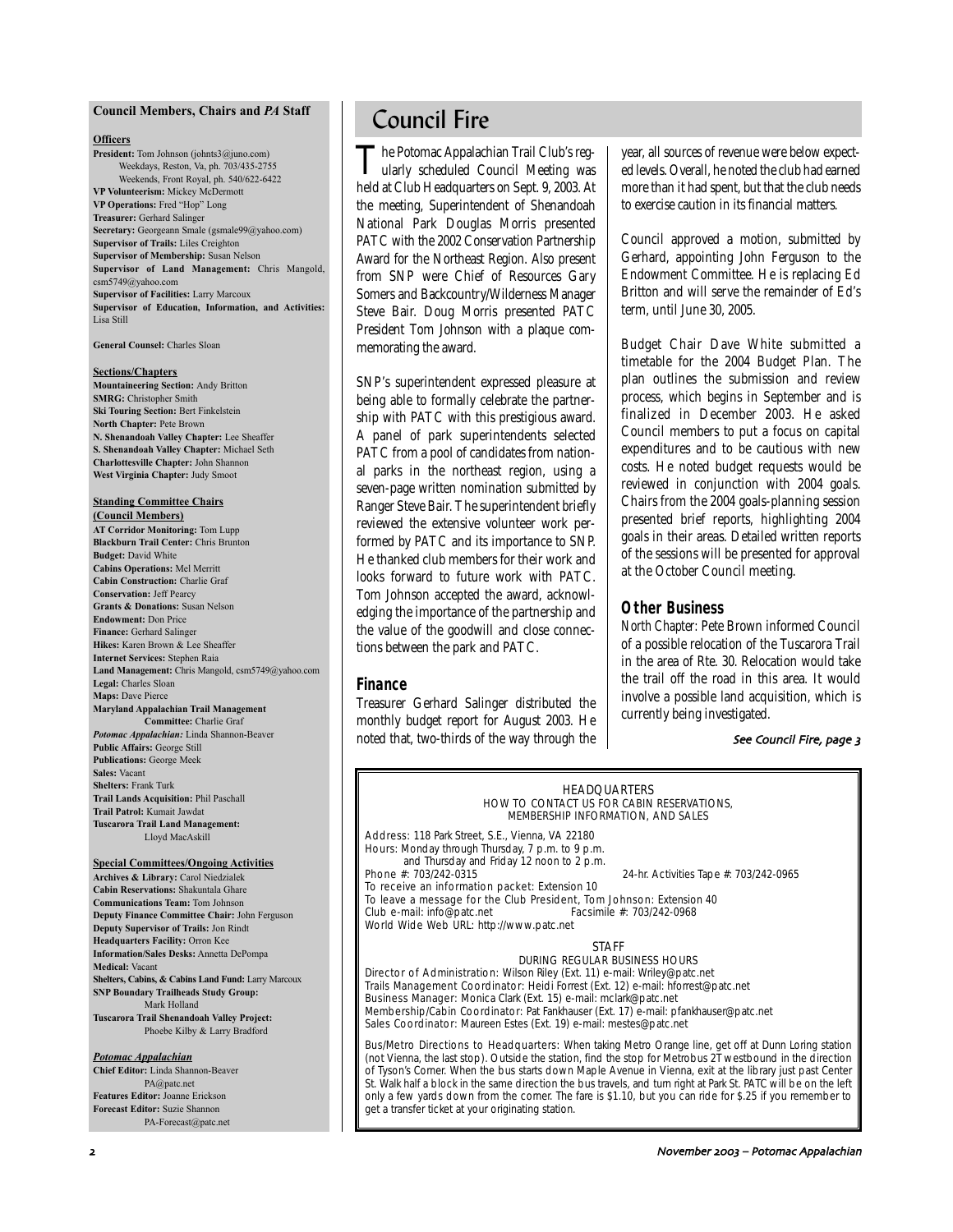### **Council Members, Chairs and** *PA* **Staff**

### **Officers**

**President:** Tom Johnson (johnts3@juno.com) Weekdays, Reston, Va, ph. 703/435-2755 Weekends, Front Royal, ph. 540/622-6422 **VP Volunteerism:** Mickey McDermott **VP Operations:** Fred "Hop" Long **Treasurer:** Gerhard Salinger **Secretary:** Georgeann Smale (gsmale99@yahoo.com) **Supervisor of Trails:** Liles Creighton **Supervisor of Membership:** Susan Nelson **Supervisor of Land Management:** Chris Mangold, csm5749@yahoo.com **Supervisor of Facilities:** Larry Marcoux **Supervisor of Education, Information, and Activities:** Lisa Still

**General Counsel:** Charles Sloan

#### **Sections/Chapters**

**Mountaineering Section:** Andy Britton **SMRG:** Christopher Smith **Ski Touring Section:** Bert Finkelstein **North Chapter:** Pete Brown **N. Shenandoah Valley Chapter:** Lee Sheaffer **S. Shenandoah Valley Chapter:** Michael Seth **Charlottesville Chapter:** John Shannon **West Virginia Chapter:** Judy Smoot

### **Standing Committee Chairs**

**(Council Members) AT Corridor Monitoring:** Tom Lupp **Blackburn Trail Center:** Chris Brunton **Budget:** David White **Cabins Operations:** Mel Merritt **Cabin Construction:** Charlie Graf **Conservation:** Jeff Pearcy **Grants & Donations:** Susan Nelson **Endowment:** Don Price **Finance:** Gerhard Salinger **Hikes:** Karen Brown & Lee Sheaffer **Internet Services:** Stephen Raia **Land Management:** Chris Mangold, csm5749@yahoo.com **Legal:** Charles Sloan **Maps:** Dave Pierce **Maryland Appalachian Trail Management Committee:** Charlie Graf *Potomac Appalachian:* Linda Shannon-Beaver **Public Affairs:** George Still **Publications:** George Meek **Sales:** Vacant **Shelters:** Frank Turk **Trail Lands Acquisition:** Phil Paschall **Trail Patrol:** Kumait Jawdat **Tuscarora Trail Land Management:**

# Lloyd MacAskill

**Special Committees/Ongoing Activities Archives & Library:** Carol Niedzialek **Cabin Reservations:** Shakuntala Ghare **Communications Team:** Tom Johnson **Deputy Finance Committee Chair:** John Ferguson **Deputy Supervisor of Trails:** Jon Rindt **Headquarters Facility:** Orron Kee **Information/Sales Desks:** Annetta DePompa **Medical:** Vacant **Shelters, Cabins, & Cabins Land Fund:** Larry Marcoux **SNP Boundary Trailheads Study Group:** Mark Holland **Tuscarora Trail Shenandoah Valley Project:** Phoebe Kilby & Larry Bradford

#### *Potomac Appalachian*

**Chief Editor:** Linda Shannon-Beaver PA@patc.net **Features Editor:** Joanne Erickson **Forecast Editor:** Suzie Shannon PA-Forecast@patc.net

# Council Fire

The Potomac Appalachian Trail Club's reg-<br>ularly scheduled Council Meeting was held at Club Headquarters on Sept. 9, 2003. At the meeting, Superintendent of Shenandoah National Park Douglas Morris presented PATC with the 2002 Conservation Partnership Award for the Northeast Region. Also present from SNP were Chief of Resources Gary Somers and Backcountry/Wilderness Manager Steve Bair. Doug Morris presented PATC President Tom Johnson with a plaque commemorating the award.

SNP's superintendent expressed pleasure at being able to formally celebrate the partnership with PATC with this prestigious award. A panel of park superintendents selected PATC from a pool of candidates from national parks in the northeast region, using a seven-page written nomination submitted by Ranger Steve Bair. The superintendent briefly reviewed the extensive volunteer work performed by PATC and its importance to SNP. He thanked club members for their work and looks forward to future work with PATC. Tom Johnson accepted the award, acknowledging the importance of the partnership and the value of the goodwill and close connections between the park and PATC.

### **Finance**

Treasurer Gerhard Salinger distributed the monthly budget report for August 2003. He noted that, two-thirds of the way through the year, all sources of revenue were below expected levels. Overall, he noted the club had earned more than it had spent, but that the club needs to exercise caution in its financial matters.

Council approved a motion, submitted by Gerhard, appointing John Ferguson to the Endowment Committee. He is replacing Ed Britton and will serve the remainder of Ed's term, until June 30, 2005.

Budget Chair Dave White submitted a timetable for the 2004 Budget Plan. The plan outlines the submission and review process, which begins in September and is finalized in December 2003. He asked Council members to put a focus on capital expenditures and to be cautious with new costs. He noted budget requests would be reviewed in conjunction with 2004 goals. Chairs from the 2004 goals-planning session presented brief reports, highlighting 2004 goals in their areas. Detailed written reports of the sessions will be presented for approval at the October Council meeting.

### **Other Business**

*North Chapter:* Pete Brown informed Council of a possible relocation of the Tuscarora Trail in the area of Rte. 30. Relocation would take the trail off the road in this area. It would involve a possible land acquisition, which is currently being investigated.

#### See Council Fire, page 3

#### **HEADOUARTERS** HOW TO CONTACT US FOR CABIN RESERVATIONS, MEMBERSHIP INFORMATION, AND SALES

Address: 118 Park Street, S.E., Vienna, VA 22180 Hours: Monday through Thursday, 7 p.m. to 9 p.m. and Thursday and Friday 12 noon to 2 p.m.<br>Phone #: 703/242-0315

24-hr. Activities Tape #: 703/242-0965

To receive an information packet: Extension 10 To leave a message for the Club President, Tom Johnson: Extension 40<br>Club e-mail: info@patc.net Facsimile #: 703/242-0968 Club e-mail: info@patc.net World Wide Web URL: http://www.patc.net

#### **STAFF**

#### DURING REGULAR BUSINESS HOURS

Director of Administration: Wilson Riley (Ext. 11) e-mail: Wriley@patc.net Trails Management Coordinator: Heidi Forrest (Ext. 12) e-mail: hforrest@patc.net Business Manager: Monica Clark (Ext. 15) e-mail: mclark@patc.net Membership/Cabin Coordinator: Pat Fankhauser (Ext. 17) e-mail: pfankhauser@patc.net Sales Coordinator: Maureen Estes (Ext. 19) e-mail: mestes@patc.net

Bus/Metro Directions to Headquarters: When taking Metro Orange line, get off at Dunn Loring station (not Vienna, the last stop). Outside the station, find the stop for Metrobus 2T westbound in the direction of Tyson's Corner. When the bus starts down Maple Avenue in Vienna, exit at the library just past Center St. Walk half a block in the same direction the bus travels, and turn right at Park St. PATC will be on the left only a few yards down from the corner. The fare is \$1.10, but you can ride for \$.25 if you remember to get a transfer ticket at your originating station.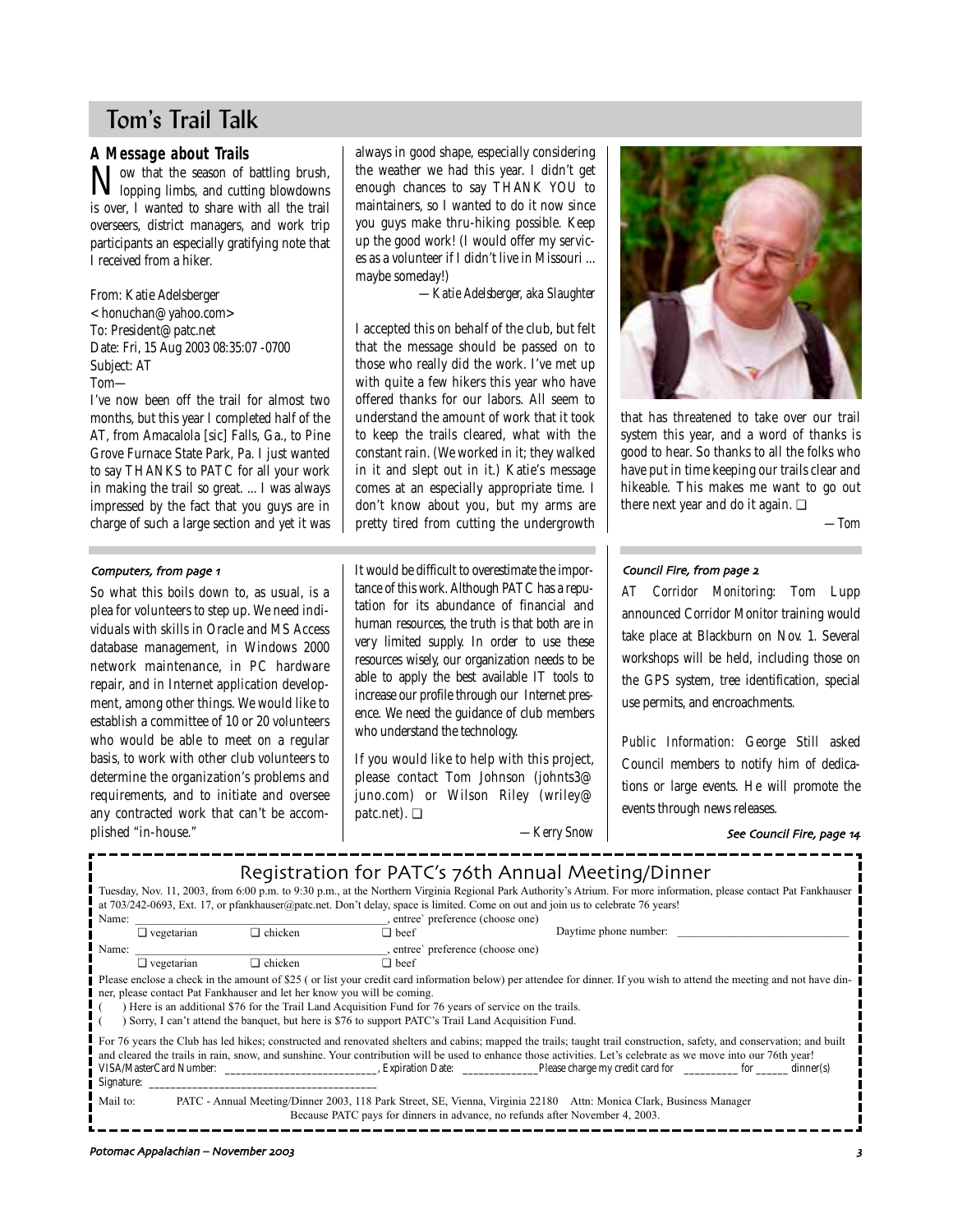# Tom's Trail Talk

# **A Message about Trails**

Now that the season of battling brush,<br>lopping limbs, and cutting blowdowns **V** lopping limbs, and cutting blowdowns is over, I wanted to share with all the trail overseers, district managers, and work trip participants an especially gratifying note that I received from a hiker.

From: Katie Adelsberger  $<$ honuchan@yahoo.com> To: President@patc.net Date: Fri, 15 Aug 2003 08:35:07 -0700 Subject: AT Tom—

I've now been off the trail for almost two months, but this year I completed half of the AT, from Amacalola [sic] Falls, Ga., to Pine Grove Furnace State Park, Pa. I just wanted to say THANKS to PATC for all your work in making the trail so great. ... I was always impressed by the fact that you guys are in charge of such a large section and yet it was

### Computers, from page 1

So what this boils down to, as usual, is a plea for volunteers to step up. We need individuals with skills in Oracle and MS Access database management, in Windows 2000 network maintenance, in PC hardware repair, and in Internet application development, among other things. We would like to establish a committee of 10 or 20 volunteers who would be able to meet on a regular basis, to work with other club volunteers to determine the organization's problems and requirements, and to initiate and oversee any contracted work that can't be accomplished "in-house."

always in good shape, especially considering the weather we had this year. I didn't get enough chances to say THANK YOU to maintainers, so I wanted to do it now since you guys make thru-hiking possible. Keep up the good work! (I would offer my services as a volunteer if I didn't live in Missouri ... maybe someday!)

*—Katie Adelsberger, aka Slaughter*

I accepted this on behalf of the club, but felt that the message should be passed on to those who really did the work. I've met up with quite a few hikers this year who have offered thanks for our labors. All seem to understand the amount of work that it took to keep the trails cleared, what with the constant rain. (We worked in it; they walked in it and slept out in it.) Katie's message comes at an especially appropriate time. I don't know about you, but my arms are pretty tired from cutting the undergrowth

It would be difficult to overestimate the importance of this work. Although PATC has a reputation for its abundance of financial and human resources, the truth is that both are in very limited supply. In order to use these resources wisely, our organization needs to be able to apply the best available IT tools to increase our profile through our Internet presence. We need the guidance of club members who understand the technology.

If you would like to help with this project, please contact Tom Johnson (johnts3@ juno.com) or Wilson Riley (wriley@ patc.net). ❏

*—Kerry Snow*



that has threatened to take over our trail system this year, and a word of thanks is good to hear. So thanks to all the folks who have put in time keeping our trails clear and hikeable. This makes me want to go out there next year and do it again. ❏

*—Tom*

#### Council Fire, from page 2

*AT Corridor Monitoring:* Tom Lupp announced Corridor Monitor training would take place at Blackburn on Nov. 1. Several workshops will be held, including those on the GPS system, tree identification, special use permits, and encroachments.

*Public Information:* George Still asked Council members to notify him of dedications or large events. He will promote the events through news releases.

### See Council Fire, page 14

| Registration for PATC's 76th Annual Meeting/Dinner<br>Tuesday, Nov. 11, 2003, from 6:00 p.m. to 9:30 p.m., at the Northern Virginia Regional Park Authority's Atrium. For more information, please contact Pat Fankhauser<br>at 703/242-0693, Ext. 17, or pfankhauser@patc.net. Don't delay, space is limited. Come on out and join us to celebrate 76 years!<br>entree' preference (choose one)<br>Name:                                                                                                                         |                |             |                       |  |  |  |
|-----------------------------------------------------------------------------------------------------------------------------------------------------------------------------------------------------------------------------------------------------------------------------------------------------------------------------------------------------------------------------------------------------------------------------------------------------------------------------------------------------------------------------------|----------------|-------------|-----------------------|--|--|--|
| $\Box$ vegetarian                                                                                                                                                                                                                                                                                                                                                                                                                                                                                                                 | $\Box$ chicken | $\Box$ beef | Daytime phone number: |  |  |  |
| Name:<br>$\Box$ chicken<br>$\Box$ vegetarian<br>$\Box$ beef<br>Please enclose a check in the amount of \$25 (or list your credit card information below) per attendee for dinner. If you wish to attend the meeting and not have din-<br>ner, please contact Pat Fankhauser and let her know you will be coming.<br>) Here is an additional \$76 for the Trail Land Acquisition Fund for 76 years of service on the trails.<br>Sorry, I can't attend the banquet, but here is \$76 to support PATC's Trail Land Acquisition Fund. |                |             |                       |  |  |  |
| For 76 years the Club has led hikes; constructed and renovated shelters and cabins; mapped the trails; taught trail construction, safety, and conservation; and built<br>and cleared the trails in rain, snow, and sunshine. Your contribution will be used to enhance those activities. Let's celebrate as we move into our 76th year!                                                                                                                                                                                           |                |             |                       |  |  |  |
| Mail to:<br>PATC - Annual Meeting/Dinner 2003, 118 Park Street, SE, Vienna, Virginia 22180 Attn: Monica Clark, Business Manager<br>Because PATC pays for dinners in advance, no refunds after November 4, 2003.                                                                                                                                                                                                                                                                                                                   |                |             |                       |  |  |  |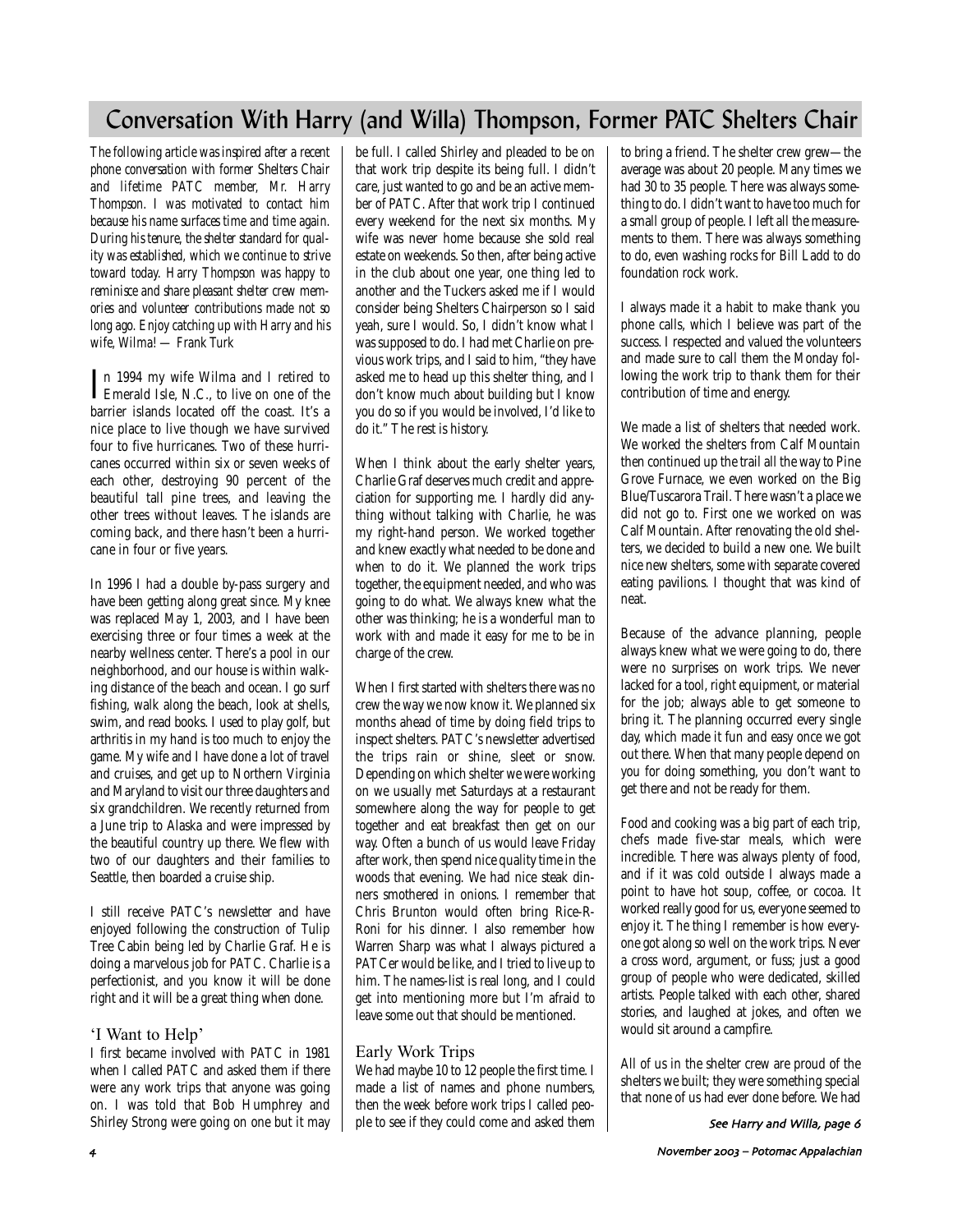# Conversation With Harry (and Willa) Thompson, Former PATC Shelters Chair

*The following article was inspired after a recent phone conversation with former Shelters Chair and lifetime PATC member, Mr. Harry Thompson. I was motivated to contact him because his name surfaces time and time again. During his tenure, the shelter standard for quality was established, which we continue to strive toward today. Harry Thompson was happy to reminisce and share pleasant shelter crew memories and volunteer contributions made not so long ago. Enjoy catching up with Harry and his wife, Wilma! — Frank Turk*

In 1994 my wife Wilma and I retired to<br>Emerald Isle, N.C., to live on one of the n 1994 my wife Wilma and I retired to barrier islands located off the coast. It's a nice place to live though we have survived four to five hurricanes. Two of these hurricanes occurred within six or seven weeks of each other, destroying 90 percent of the beautiful tall pine trees, and leaving the other trees without leaves. The islands are coming back, and there hasn't been a hurricane in four or five years.

In 1996 I had a double by-pass surgery and have been getting along great since. My knee was replaced May 1, 2003, and I have been exercising three or four times a week at the nearby wellness center. There's a pool in our neighborhood, and our house is within walking distance of the beach and ocean. I go surf fishing, walk along the beach, look at shells, swim, and read books. I used to play golf, but arthritis in my hand is too much to enjoy the game. My wife and I have done a lot of travel and cruises, and get up to Northern Virginia and Maryland to visit our three daughters and six grandchildren. We recently returned from a June trip to Alaska and were impressed by the beautiful country up there. We flew with two of our daughters and their families to Seattle, then boarded a cruise ship.

I still receive PATC's newsletter and have enjoyed following the construction of Tulip Tree Cabin being led by Charlie Graf. He is doing a marvelous job for PATC. Charlie is a perfectionist, and you know it will be done right and it will be a great thing when done.

# 'I Want to Help'

I first became involved with PATC in 1981 when I called PATC and asked them if there were any work trips that anyone was going on. I was told that Bob Humphrey and Shirley Strong were going on one but it may be full. I called Shirley and pleaded to be on that work trip despite its being full. I didn't care, just wanted to go and be an active member of PATC. After that work trip I continued every weekend for the next six months. My wife was never home because she sold real estate on weekends. So then, after being active in the club about one year, one thing led to another and the Tuckers asked me if I would consider being Shelters Chairperson so I said yeah, sure I would. So, I didn't know what I was supposed to do. I had met Charlie on previous work trips, and I said to him, "they have asked me to head up this shelter thing, and I don't know much about building but I know you do so if you would be involved, I'd like to do it." The rest is history.

When I think about the early shelter years, Charlie Graf deserves much credit and appreciation for supporting me. I hardly did anything without talking with Charlie, he was my right-hand person. We worked together and knew exactly what needed to be done and when to do it. We planned the work trips together, the equipment needed, and who was going to do what. We always knew what the other was thinking; he is a wonderful man to work with and made it easy for me to be in charge of the crew.

When I first started with shelters there was no crew the way we now know it. We planned six months ahead of time by doing field trips to inspect shelters. PATC's newsletter advertised the trips rain or shine, sleet or snow. Depending on which shelter we were working on we usually met Saturdays at a restaurant somewhere along the way for people to get together and eat breakfast then get on our way. Often a bunch of us would leave Friday after work, then spend nice quality time in the woods that evening. We had nice steak dinners smothered in onions. I remember that Chris Brunton would often bring Rice-R-Roni for his dinner. I also remember how Warren Sharp was what I always pictured a PATCer would be like, and I tried to live up to him. The names-list is real long, and I could get into mentioning more but I'm afraid to leave some out that should be mentioned.

# Early Work Trips

We had maybe 10 to 12 people the first time. I made a list of names and phone numbers, then the week before work trips I called people to see if they could come and asked them

to bring a friend. The shelter crew grew—the average was about 20 people. Many times we had 30 to 35 people. There was always something to do. I didn't want to have too much for a small group of people. I left all the measurements to them. There was always something to do, even washing rocks for Bill Ladd to do foundation rock work.

I always made it a habit to make thank you phone calls, which I believe was part of the success. I respected and valued the volunteers and made sure to call them the Monday following the work trip to thank them for their contribution of time and energy.

We made a list of shelters that needed work. We worked the shelters from Calf Mountain then continued up the trail all the way to Pine Grove Furnace, we even worked on the Big Blue/Tuscarora Trail. There wasn't a place we did not go to. First one we worked on was Calf Mountain. After renovating the old shelters, we decided to build a new one. We built nice new shelters, some with separate covered eating pavilions. I thought that was kind of neat.

Because of the advance planning, people always knew what we were going to do, there were no surprises on work trips. We never lacked for a tool, right equipment, or material for the job; always able to get someone to bring it. The planning occurred every single day, which made it fun and easy once we got out there. When that many people depend on you for doing something, you don't want to get there and not be ready for them.

Food and cooking was a big part of each trip, chefs made five-star meals, which were incredible. There was always plenty of food, and if it was cold outside I always made a point to have hot soup, coffee, or cocoa. It worked really good for us, everyone seemed to enjoy it. The thing I remember is how everyone got along so well on the work trips. Never a cross word, argument, or fuss; just a good group of people who were dedicated, skilled artists. People talked with each other, shared stories, and laughed at jokes, and often we would sit around a campfire.

All of us in the shelter crew are proud of the shelters we built; they were something special that none of us had ever done before. We had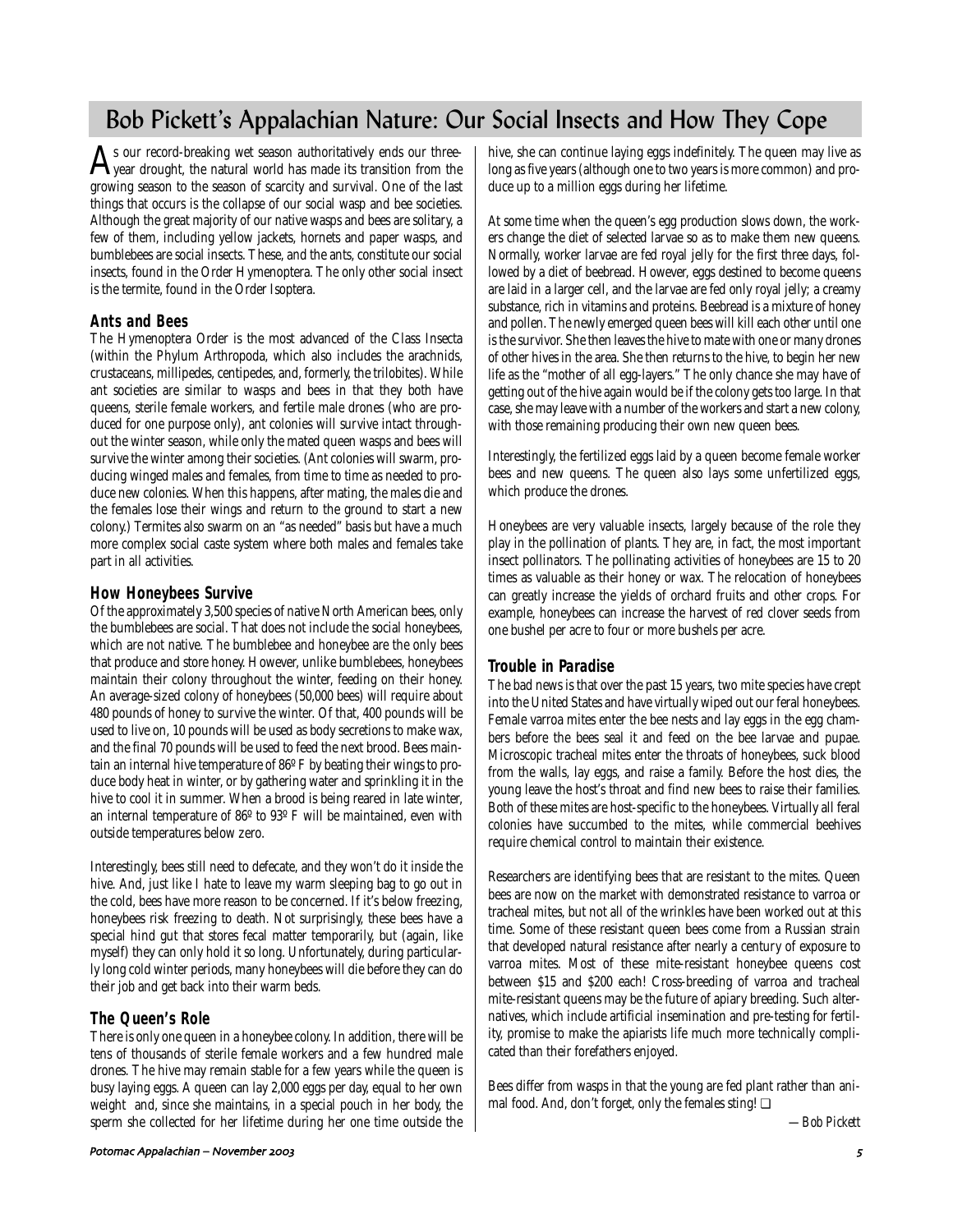# Bob Pickett's Appalachian Nature: Our Social Insects and How They Cope

 $\mathbf{A}$ s our record-breaking wet season authoritatively ends our three-<br>year drought, the natural world has made its transition from the growing season to the season of scarcity and survival. One of the last things that occurs is the collapse of our social wasp and bee societies. Although the great majority of our native wasps and bees are solitary, a few of them, including yellow jackets, hornets and paper wasps, and bumblebees are social insects. These, and the ants, constitute our social insects, found in the Order Hymenoptera. The only other social insect is the termite, found in the Order Isoptera.

# **Ants and Bees**

The Hymenoptera Order is the most advanced of the Class Insecta (within the Phylum Arthropoda, which also includes the arachnids, crustaceans, millipedes, centipedes, and, formerly, the trilobites). While ant societies are similar to wasps and bees in that they both have queens, sterile female workers, and fertile male drones (who are produced for one purpose only), ant colonies will survive intact throughout the winter season, while only the mated queen wasps and bees will survive the winter among their societies. (Ant colonies will swarm, producing winged males and females, from time to time as needed to produce new colonies. When this happens, after mating, the males die and the females lose their wings and return to the ground to start a new colony.) Termites also swarm on an "as needed" basis but have a much more complex social caste system where both males and females take part in all activities.

# **How Honeybees Survive**

Of the approximately 3,500 species of native North American bees, only the bumblebees are social. That does not include the social honeybees, which are not native. The bumblebee and honeybee are the only bees that produce and store honey. However, unlike bumblebees, honeybees maintain their colony throughout the winter, feeding on their honey. An average-sized colony of honeybees (50,000 bees) will require about 480 pounds of honey to survive the winter. Of that, 400 pounds will be used to live on, 10 pounds will be used as body secretions to make wax, and the final 70 pounds will be used to feed the next brood. Bees maintain an internal hive temperature of 86º F by beating their wings to produce body heat in winter, or by gathering water and sprinkling it in the hive to cool it in summer. When a brood is being reared in late winter, an internal temperature of 86º to 93º F will be maintained, even with outside temperatures below zero.

Interestingly, bees still need to defecate, and they won't do it inside the hive. And, just like I hate to leave my warm sleeping bag to go out in the cold, bees have more reason to be concerned. If it's below freezing, honeybees risk freezing to death. Not surprisingly, these bees have a special hind gut that stores fecal matter temporarily, but (again, like myself) they can only hold it so long. Unfortunately, during particularly long cold winter periods, many honeybees will die before they can do their job and get back into their warm beds.

# **The Queen's Role**

There is only one queen in a honeybee colony. In addition, there will be tens of thousands of sterile female workers and a few hundred male drones. The hive may remain stable for a few years while the queen is busy laying eggs. A queen can lay 2,000 eggs per day, equal to her own weight and, since she maintains, in a special pouch in her body, the sperm she collected for her lifetime during her one time outside the

hive, she can continue laying eggs indefinitely. The queen may live as long as five years (although one to two years is more common) and produce up to a million eggs during her lifetime.

At some time when the queen's egg production slows down, the workers change the diet of selected larvae so as to make them new queens. Normally, worker larvae are fed royal jelly for the first three days, followed by a diet of beebread. However, eggs destined to become queens are laid in a larger cell, and the larvae are fed only royal jelly; a creamy substance, rich in vitamins and proteins. Beebread is a mixture of honey and pollen. The newly emerged queen bees will kill each other until one is the survivor. She then leaves the hive to mate with one or many drones of other hives in the area. She then returns to the hive, to begin her new life as the "mother of all egg-layers." The only chance she may have of getting out of the hive again would be if the colony gets too large. In that case, she may leave with a number of the workers and start a new colony, with those remaining producing their own new queen bees.

Interestingly, the fertilized eggs laid by a queen become female worker bees and new queens. The queen also lays some unfertilized eggs, which produce the drones.

Honeybees are very valuable insects, largely because of the role they play in the pollination of plants. They are, in fact, the most important insect pollinators. The pollinating activities of honeybees are 15 to 20 times as valuable as their honey or wax. The relocation of honeybees can greatly increase the yields of orchard fruits and other crops. For example, honeybees can increase the harvest of red clover seeds from one bushel per acre to four or more bushels per acre.

# **Trouble in Paradise**

The bad news is that over the past 15 years, two mite species have crept into the United States and have virtually wiped out our feral honeybees. Female varroa mites enter the bee nests and lay eggs in the egg chambers before the bees seal it and feed on the bee larvae and pupae. Microscopic tracheal mites enter the throats of honeybees, suck blood from the walls, lay eggs, and raise a family. Before the host dies, the young leave the host's throat and find new bees to raise their families. Both of these mites are host-specific to the honeybees. Virtually all feral colonies have succumbed to the mites, while commercial beehives require chemical control to maintain their existence.

Researchers are identifying bees that are resistant to the mites. Queen bees are now on the market with demonstrated resistance to varroa or tracheal mites, but not all of the wrinkles have been worked out at this time. Some of these resistant queen bees come from a Russian strain that developed natural resistance after nearly a century of exposure to varroa mites. Most of these mite-resistant honeybee queens cost between \$15 and \$200 each! Cross-breeding of varroa and tracheal mite-resistant queens may be the future of apiary breeding. Such alternatives, which include artificial insemination and pre-testing for fertility, promise to make the apiarists life much more technically complicated than their forefathers enjoyed.

Bees differ from wasps in that the young are fed plant rather than animal food. And, don't forget, only the females sting! ❏

*—Bob Pickett*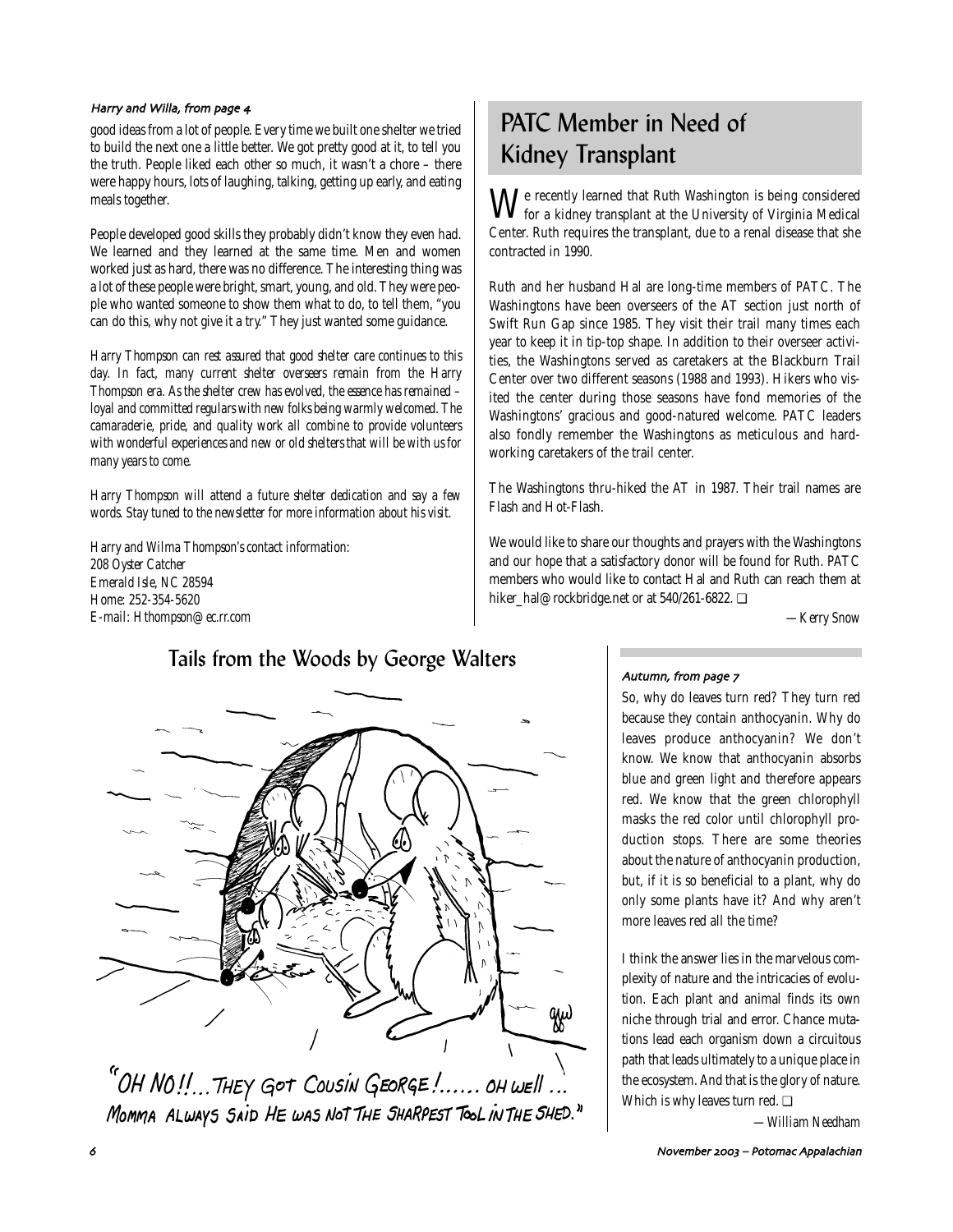### Harry and Willa, from page 4

good ideas from a lot of people. Every time we built one shelter we tried to build the next one a little better. We got pretty good at it, to tell you the truth. People liked each other so much, it wasn't a chore – there were happy hours, lots of laughing, talking, getting up early, and eating meals together.

People developed good skills they probably didn't know they even had. We learned and they learned at the same time. Men and women worked just as hard, there was no difference. The interesting thing was a lot of these people were bright, smart, young, and old. They were people who wanted someone to show them what to do, to tell them, "you can do this, why not give it a try." They just wanted some guidance.

*Harry Thompson can rest assured that good shelter care continues to this day. In fact, many current shelter overseers remain from the Harry Thompson era. As the shelter crew has evolved, the essence has remained – loyal and committed regulars with new folks being warmly welcomed. The camaraderie, pride, and quality work all combine to provide volunteers with wonderful experiences and new or old shelters that will be with us for many years to come.*

*Harry Thompson will attend a future shelter dedication and say a few words. Stay tuned to the newsletter for more information about his visit.*

*Harry and Wilma Thompson's contact information: 208 Oyster Catcher Emerald Isle, NC 28594 Home: 252-354-5620 E-mail: Hthompson@ec.rr.com*

# PATC Member in Need of Kidney Transplant

 $\tilde{\mathbf{M}}$  recently learned that Ruth Washington is being considered for a kidney transplant at the University of Virginia Medical Center. Ruth requires the transplant, due to a renal disease that she contracted in 1990.

Ruth and her husband Hal are long-time members of PATC. The Washingtons have been overseers of the AT section just north of Swift Run Gap since 1985. They visit their trail many times each year to keep it in tip-top shape. In addition to their overseer activities, the Washingtons served as caretakers at the Blackburn Trail Center over two different seasons (1988 and 1993). Hikers who visited the center during those seasons have fond memories of the Washingtons' gracious and good-natured welcome. PATC leaders also fondly remember the Washingtons as meticulous and hardworking caretakers of the trail center.

The Washingtons thru-hiked the AT in 1987. Their trail names are Flash and Hot-Flash.

We would like to share our thoughts and prayers with the Washingtons and our hope that a satisfactory donor will be found for Ruth. PATC members who would like to contact Hal and Ruth can reach them at hiker\_hal@rockbridge.net or at 540/261-6822. ❏

*—Kerry Snow*



MOMMA ALWAYS SAID HE WAS NOT THE SHARPEST TOOL IN THE SHED."

Autumn, from page 7

So, why do leaves turn red? They turn red because they contain anthocyanin. Why do leaves produce anthocyanin? We don't know. We know that anthocyanin absorbs blue and green light and therefore appears red. We know that the green chlorophyll masks the red color until chlorophyll production stops. There are some theories about the nature of anthocyanin production, but, if it is so beneficial to a plant, why do only some plants have it? And why aren't more leaves red all the time?

I think the answer lies in the marvelous complexity of nature and the intricacies of evolution. Each plant and animal finds its own niche through trial and error. Chance mutations lead each organism down a circuitous path that leads ultimately to a unique place in the ecosystem. And that is the glory of nature. Which is why leaves turn red. ❏

*—William Needham*

. November 2003 – Potomac Appalachian (1999), and the contract of the contract of the contract of the contract of the contract of the contract of the contract of the contract of the contract of the contract of the contract

# Tails from the Woods by George Walters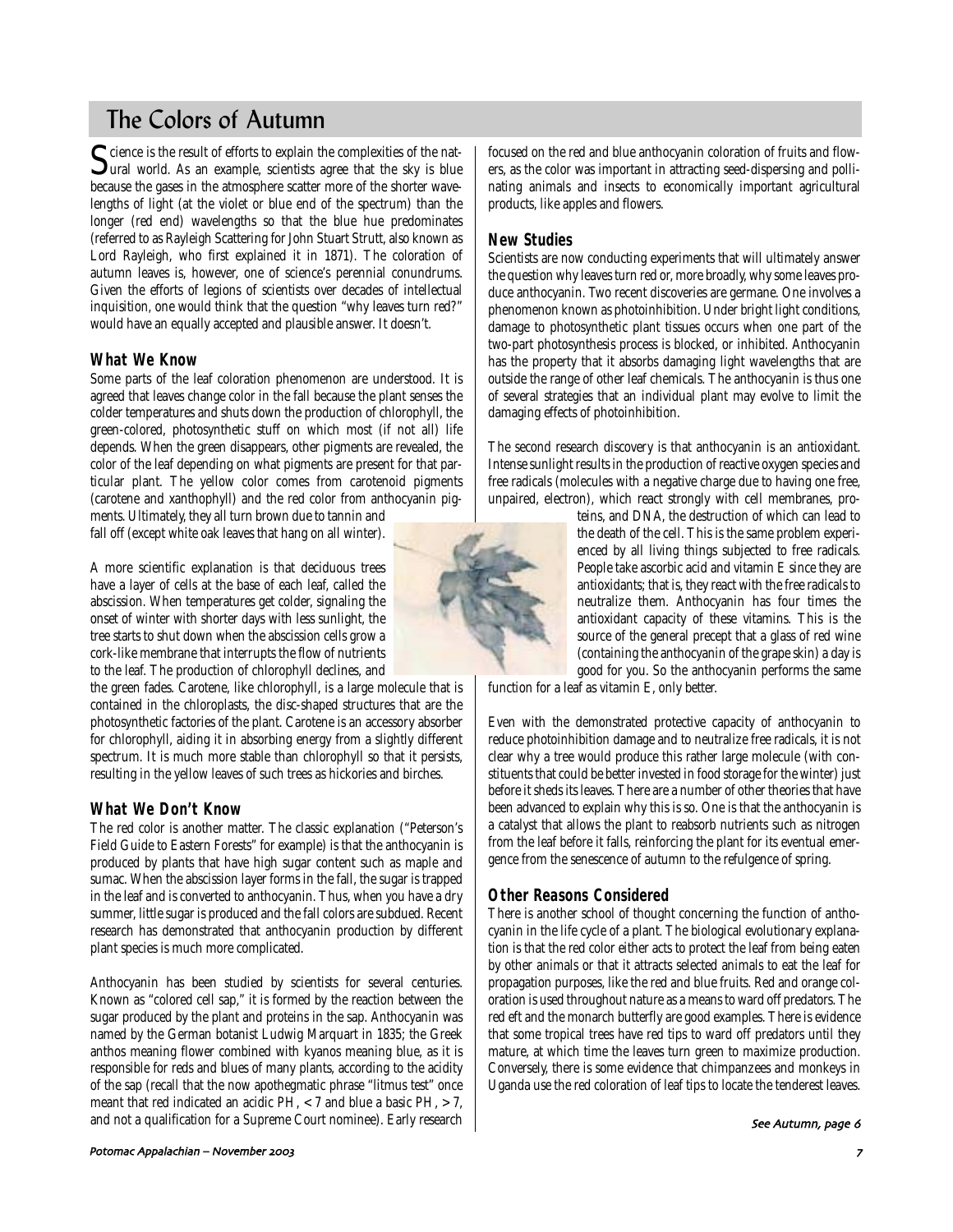# The Colors of Autumn

Science is the result of efforts to explain the complexities of the nat-<br>ural world. As an example, scientists agree that the sky is blue because the gases in the atmosphere scatter more of the shorter wavelengths of light (at the violet or blue end of the spectrum) than the longer (red end) wavelengths so that the blue hue predominates (referred to as Rayleigh Scattering for John Stuart Strutt, also known as Lord Rayleigh, who first explained it in 1871). The coloration of autumn leaves is, however, one of science's perennial conundrums. Given the efforts of legions of scientists over decades of intellectual inquisition, one would think that the question "why leaves turn red?" would have an equally accepted and plausible answer. It doesn't.

### **What We Know**

Some parts of the leaf coloration phenomenon are understood. It is agreed that leaves change color in the fall because the plant senses the colder temperatures and shuts down the production of chlorophyll, the green-colored, photosynthetic stuff on which most (if not all) life depends. When the green disappears, other pigments are revealed, the color of the leaf depending on what pigments are present for that particular plant. The yellow color comes from carotenoid pigments (carotene and xanthophyll) and the red color from anthocyanin pigments. Ultimately, they all turn brown due to tannin and

fall off (except white oak leaves that hang on all winter).

A more scientific explanation is that deciduous trees have a layer of cells at the base of each leaf, called the abscission. When temperatures get colder, signaling the onset of winter with shorter days with less sunlight, the tree starts to shut down when the abscission cells grow a cork-like membrane that interrupts the flow of nutrients to the leaf. The production of chlorophyll declines, and

the green fades. Carotene, like chlorophyll, is a large molecule that is contained in the chloroplasts, the disc-shaped structures that are the photosynthetic factories of the plant. Carotene is an accessory absorber for chlorophyll, aiding it in absorbing energy from a slightly different spectrum. It is much more stable than chlorophyll so that it persists, resulting in the yellow leaves of such trees as hickories and birches.

# **What We Don't Know**

The red color is another matter. The classic explanation ("Peterson's Field Guide to Eastern Forests" for example) is that the anthocyanin is produced by plants that have high sugar content such as maple and sumac. When the abscission layer forms in the fall, the sugar is trapped in the leaf and is converted to anthocyanin. Thus, when you have a dry summer, little sugar is produced and the fall colors are subdued. Recent research has demonstrated that anthocyanin production by different plant species is much more complicated.

Anthocyanin has been studied by scientists for several centuries. Known as "colored cell sap," it is formed by the reaction between the sugar produced by the plant and proteins in the sap. Anthocyanin was named by the German botanist Ludwig Marquart in 1835; the Greek anthos meaning flower combined with kyanos meaning blue, as it is responsible for reds and blues of many plants, according to the acidity of the sap (recall that the now apothegmatic phrase "litmus test" once meant that red indicated an acidic PH, <7 and blue a basic PH, >7, and not a qualification for a Supreme Court nominee). Early research focused on the red and blue anthocyanin coloration of fruits and flowers, as the color was important in attracting seed-dispersing and pollinating animals and insects to economically important agricultural products, like apples and flowers.

### **New Studies**

Scientists are now conducting experiments that will ultimately answer the question why leaves turn red or, more broadly, why some leaves produce anthocyanin. Two recent discoveries are germane. One involves a phenomenon known as photoinhibition. Under bright light conditions, damage to photosynthetic plant tissues occurs when one part of the two-part photosynthesis process is blocked, or inhibited. Anthocyanin has the property that it absorbs damaging light wavelengths that are outside the range of other leaf chemicals. The anthocyanin is thus one of several strategies that an individual plant may evolve to limit the damaging effects of photoinhibition.

The second research discovery is that anthocyanin is an antioxidant. Intense sunlight results in the production of reactive oxygen species and free radicals (molecules with a negative charge due to having one free, unpaired, electron), which react strongly with cell membranes, pro-

> teins, and DNA, the destruction of which can lead to the death of the cell. This is the same problem experienced by all living things subjected to free radicals. People take ascorbic acid and vitamin E since they are antioxidants; that is, they react with the free radicals to neutralize them. Anthocyanin has four times the antioxidant capacity of these vitamins. This is the source of the general precept that a glass of red wine (containing the anthocyanin of the grape skin) a day is good for you. So the anthocyanin performs the same

function for a leaf as vitamin E, only better.

Even with the demonstrated protective capacity of anthocyanin to reduce photoinhibition damage and to neutralize free radicals, it is not clear why a tree would produce this rather large molecule (with constituents that could be better invested in food storage for the winter) just before it sheds its leaves. There are a number of other theories that have been advanced to explain why this is so. One is that the anthocyanin is a catalyst that allows the plant to reabsorb nutrients such as nitrogen from the leaf before it falls, reinforcing the plant for its eventual emergence from the senescence of autumn to the refulgence of spring.

### **Other Reasons Considered**

There is another school of thought concerning the function of anthocyanin in the life cycle of a plant. The biological evolutionary explanation is that the red color either acts to protect the leaf from being eaten by other animals or that it attracts selected animals to eat the leaf for propagation purposes, like the red and blue fruits. Red and orange coloration is used throughout nature as a means to ward off predators. The red eft and the monarch butterfly are good examples. There is evidence that some tropical trees have red tips to ward off predators until they mature, at which time the leaves turn green to maximize production. Conversely, there is some evidence that chimpanzees and monkeys in Uganda use the red coloration of leaf tips to locate the tenderest leaves.

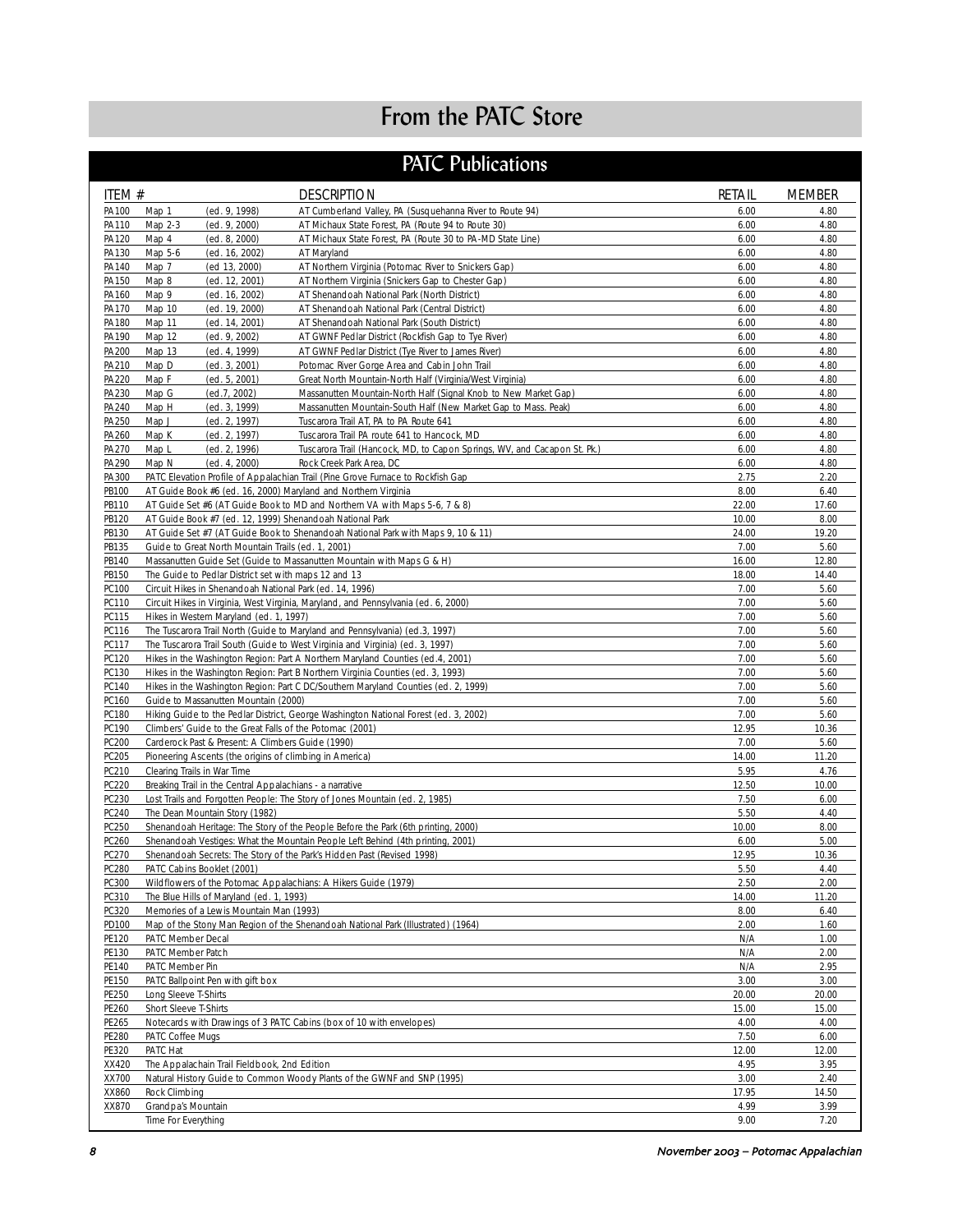# From the PATC Store

# PATC Publications

| ITEM #         | <b>DESCRIPTION</b>                                                                                                                        | <b>RETAIL</b> | <b>MEMBER</b> |
|----------------|-------------------------------------------------------------------------------------------------------------------------------------------|---------------|---------------|
| PA100          | Map 1<br>(ed. 9, 1998)<br>AT Cumberland Valley, PA (Susquehanna River to Route 94)                                                        | 6.00          | 4.80          |
| PA110          | Map 2-3<br>(ed. 9, 2000)<br>AT Michaux State Forest, PA (Route 94 to Route 30)                                                            | 6.00          | 4.80          |
| PA120          | Map 4<br>(ed. 8, 2000)<br>AT Michaux State Forest, PA (Route 30 to PA-MD State Line)                                                      | 6.00          | 4.80          |
| PA130<br>PA140 | Map 5-6<br>(ed. 16, 2002)<br>AT Maryland<br>Map 7<br>(ed 13, 2000)<br>AT Northern Virginia (Potomac River to Snickers Gap)                | 6.00<br>6.00  | 4.80<br>4.80  |
| PA150          | Map 8<br>(ed. 12, 2001)<br>AT Northern Virginia (Snickers Gap to Chester Gap)                                                             | 6.00          | 4.80          |
| PA160          | Map 9<br>(ed. 16, 2002)<br>AT Shenandoah National Park (North District)                                                                   | 6.00          | 4.80          |
| PA170          | Map 10<br>(ed. 19, 2000)<br>AT Shenandoah National Park (Central District)                                                                | 6.00          | 4.80          |
| PA180          | Map 11<br>(ed. 14, 2001)<br>AT Shenandoah National Park (South District)                                                                  | 6.00          | 4.80          |
| PA190          | Map 12<br>(ed. 9, 2002)<br>AT GWNF Pedlar District (Rockfish Gap to Tye River)                                                            | 6.00          | 4.80          |
| PA200          | Map 13<br>(ed. 4, 1999)<br>AT GWNF Pedlar District (Tye River to James River)                                                             | 6.00          | 4.80          |
| PA210          | Map D<br>Potomac River Gorge Area and Cabin John Trail<br>(ed. 3, 2001)                                                                   | 6.00          | 4.80          |
| PA220          | Map F<br>Great North Mountain-North Half (Virginia/West Virginia)<br>(ed. 5, 2001)                                                        | 6.00          | 4.80          |
| PA230          | Map G<br>(ed. 7, 2002)<br>Massanutten Mountain-North Half (Signal Knob to New Market Gap)                                                 | 6.00          | 4.80          |
| PA240          | Map H<br>(ed. 3, 1999)<br>Massanutten Mountain-South Half (New Market Gap to Mass. Peak)                                                  | 6.00<br>6.00  | 4.80<br>4.80  |
| PA250<br>PA260 | Map J<br>(ed. 2, 1997)<br>Tuscarora Trail AT, PA to PA Route 641<br>Map K<br>(ed. 2, 1997)<br>Tuscarora Trail PA route 641 to Hancock, MD | 6.00          | 4.80          |
| PA270          | Map L<br>(ed. 2, 1996)<br>Tuscarora Trail (Hancock, MD, to Capon Springs, WV, and Cacapon St. Pk.)                                        | 6.00          | 4.80          |
| PA290          | Map N<br>(ed. 4, 2000)<br>Rock Creek Park Area, DC                                                                                        | 6.00          | 4.80          |
| PA300          | PATC Elevation Profile of Appalachian Trail (Pine Grove Furnace to Rockfish Gap                                                           | 2.75          | 2.20          |
| PB100          | AT Guide Book #6 (ed. 16, 2000) Maryland and Northern Virginia                                                                            | 8.00          | 6.40          |
| PB110          | AT Guide Set #6 (AT Guide Book to MD and Northern VA with Maps 5-6, 7 & 8)                                                                | 22.00         | 17.60         |
| PB120          | AT Guide Book #7 (ed. 12, 1999) Shenandoah National Park                                                                                  | 10.00         | 8.00          |
| PB130          | AT Guide Set #7 (AT Guide Book to Shenandoah National Park with Maps 9, 10 & 11)                                                          | 24.00         | 19.20         |
| PB135          | Guide to Great North Mountain Trails (ed. 1, 2001)                                                                                        | 7.00          | 5.60          |
| PB140          | Massanutten Guide Set (Guide to Massanutten Mountain with Maps G & H)                                                                     | 16.00         | 12.80         |
| PB150          | The Guide to Pedlar District set with maps 12 and 13                                                                                      | 18.00         | 14.40         |
| PC100          | Circuit Hikes in Shenandoah National Park (ed. 14, 1996)                                                                                  | 7.00          | 5.60          |
| PC110<br>PC115 | Circuit Hikes in Virginia, West Virginia, Maryland, and Pennsylvania (ed. 6, 2000)<br>Hikes in Western Maryland (ed. 1, 1997)             | 7.00<br>7.00  | 5.60<br>5.60  |
| PC116          | The Tuscarora Trail North (Guide to Maryland and Pennsylvania) (ed.3, 1997)                                                               | 7.00          | 5.60          |
| PC117          | The Tuscarora Trail South (Guide to West Virginia and Virginia) (ed. 3, 1997)                                                             | 7.00          | 5.60          |
| PC120          | Hikes in the Washington Region: Part A Northern Maryland Counties (ed.4, 2001)                                                            | 7.00          | 5.60          |
| PC130          | Hikes in the Washington Region: Part B Northern Virginia Counties (ed. 3, 1993)                                                           | 7.00          | 5.60          |
| PC140          | Hikes in the Washington Region: Part C DC/Southern Maryland Counties (ed. 2, 1999)                                                        | 7.00          | 5.60          |
| PC160          | Guide to Massanutten Mountain (2000)                                                                                                      | 7.00          | 5.60          |
| PC180          | Hiking Guide to the Pedlar District, George Washington National Forest (ed. 3, 2002)                                                      | 7.00          | 5.60          |
| PC190          | Climbers' Guide to the Great Falls of the Potomac (2001)                                                                                  | 12.95         | 10.36         |
| PC200          | Carderock Past & Present: A Climbers Guide (1990)                                                                                         | 7.00          | 5.60          |
| PC205<br>PC210 | Pioneering Ascents (the origins of climbing in America)<br>Clearing Trails in War Time                                                    | 14.00<br>5.95 | 11.20<br>4.76 |
| PC220          | Breaking Trail in the Central Appalachians - a narrative                                                                                  | 12.50         | 10.00         |
| PC230          | Lost Trails and Forgotten People: The Story of Jones Mountain (ed. 2, 1985)                                                               | 7.50          | 6.00          |
| PC240          | The Dean Mountain Story (1982)                                                                                                            | 5.50          | 4.40          |
| PC250          | Shenandoah Heritage: The Story of the People Before the Park (6th printing, 2000)                                                         | 10.00         | 8.00          |
| PC260          | Shenandoah Vestiges: What the Mountain People Left Behind (4th printing, 2001)                                                            | 6.00          | 5.00          |
| PC270          | Shenandoah Secrets: The Story of the Park's Hidden Past (Revised 1998)                                                                    | 12.95         | 10.36         |
| PC280          | PATC Cabins Booklet (2001)                                                                                                                | 5.50          | 4.40          |
| PC300          | Wildflowers of the Potomac Appalachians: A Hikers Guide (1979)                                                                            | 2.50          | 2.00          |
| PC310          | The Blue Hills of Maryland (ed. 1, 1993)                                                                                                  | 14.00         | 11.20         |
| PC320          | Memories of a Lewis Mountain Man (1993)                                                                                                   | 8.00          | 6.40          |
| PD100          | Map of the Stony Man Region of the Shenandoah National Park (Illustrated) (1964)                                                          | 2.00          | 1.60          |
| PE120<br>PE130 | PATC Member Decal<br>PATC Member Patch                                                                                                    | N/A<br>N/A    | 1.00<br>2.00  |
| PE140          | PATC Member Pin                                                                                                                           | N/A           | 2.95          |
| PE150          | PATC Ballpoint Pen with gift box                                                                                                          | 3.00          | 3.00          |
| PE250          | Long Sleeve T-Shirts                                                                                                                      | 20.00         | 20.00         |
| PE260          | Short Sleeve T-Shirts                                                                                                                     | 15.00         | 15.00         |
| PE265          | Notecards with Drawings of 3 PATC Cabins (box of 10 with envelopes)                                                                       | 4.00          | 4.00          |
| PE280          | PATC Coffee Mugs                                                                                                                          | 7.50          | 6.00          |
| PE320          | PATC Hat                                                                                                                                  | 12.00         | 12.00         |
| XX420          | The Appalachain Trail Fieldbook, 2nd Edition                                                                                              | 4.95          | 3.95          |
| XX700          | Natural History Guide to Common Woody Plants of the GWNF and SNP (1995)<br>Rock Climbing                                                  | 3.00<br>17.95 | 2.40<br>14.50 |
| XX860<br>XX870 | Grandpa's Mountain                                                                                                                        | 4.99          | 3.99          |
|                | Time For Everything                                                                                                                       | 9.00          | 7.20          |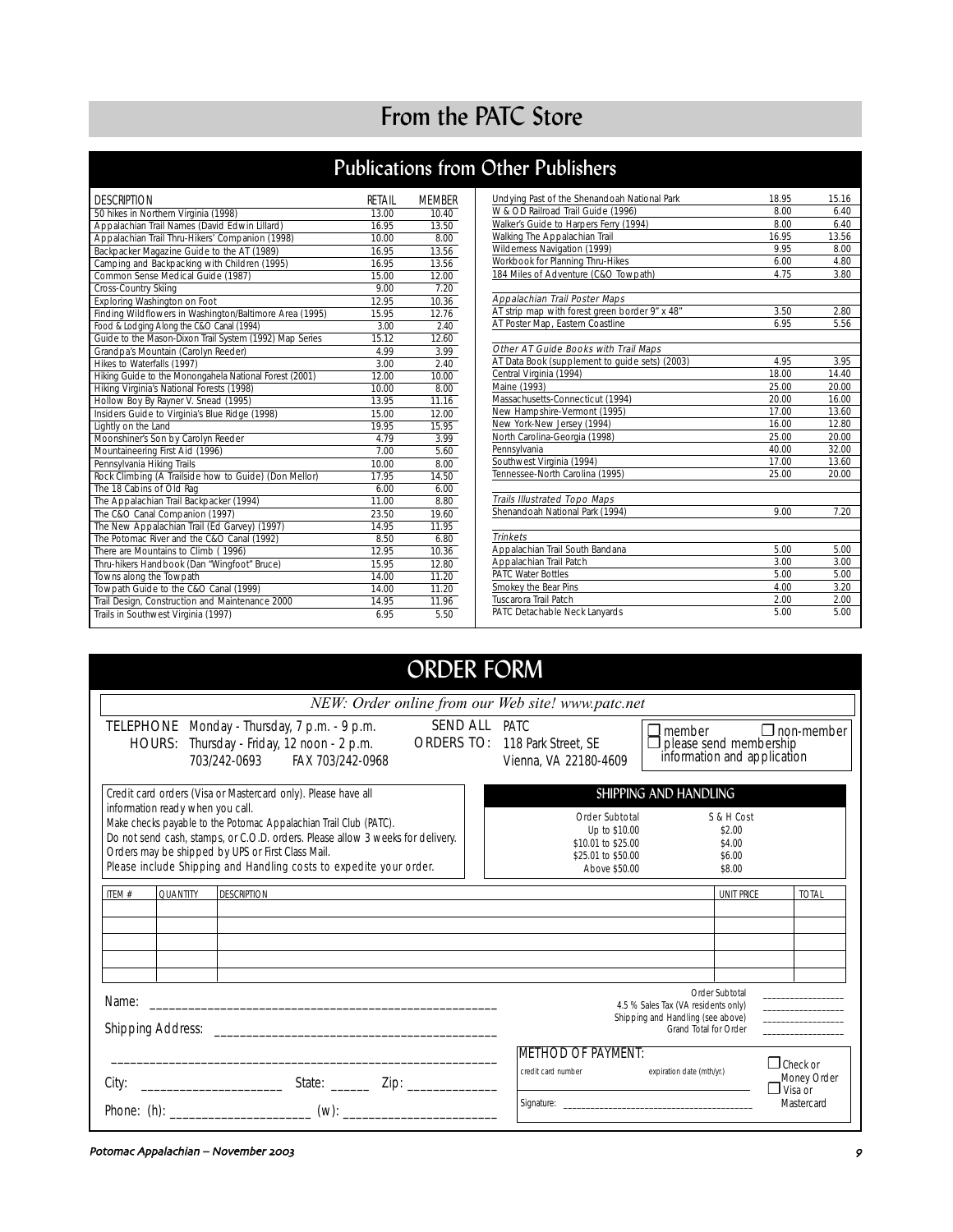# From the PATC Store

# Publications from Other Publishers

| <b>DESCRIPTION</b>                                      | RFTAIL | <b>MFMBFR</b> |
|---------------------------------------------------------|--------|---------------|
| 50 hikes in Northern Virginia (1998)                    | 13.00  | 10.40         |
| Appalachian Trail Names (David Edwin Lillard)           | 16.95  | 13.50         |
| Appalachian Trail Thru-Hikers' Companion (1998)         | 10.00  | 8.00          |
| Backpacker Magazine Guide to the AT (1989)              | 16.95  | 13.56         |
| Camping and Backpacking with Children (1995)            | 16.95  | 13.56         |
| Common Sense Medical Guide (1987)                       | 15.00  | 12.00         |
| Cross-Country Skiing                                    | 9.00   | 7.20          |
| Exploring Washington on Foot                            | 12.95  | 10.36         |
| Finding Wildflowers in Washington/Baltimore Area (1995) | 15.95  | 12.76         |
| Food & Lodging Along the C&O Canal (1994)               | 3.00   | 2.40          |
| Guide to the Mason-Dixon Trail System (1992) Map Series | 15.12  | 12.60         |
| Grandpa's Mountain (Carolyn Reeder)                     | 4.99   | 3.99          |
| Hikes to Waterfalls (1997)                              | 3.00   | 2.40          |
| Hiking Guide to the Monongahela National Forest (2001)  | 12.00  | 10.00         |
| Hiking Virginia's National Forests (1998)               | 10.00  | 8.00          |
| Hollow Boy By Rayner V. Snead (1995)                    | 13.95  | 11.16         |
| Insiders Guide to Virginia's Blue Ridge (1998)          | 15.00  | 12.00         |
| Lightly on the Land                                     | 19.95  | 15.95         |
| Moonshiner's Son by Carolyn Reeder                      | 4.79   | 3.99          |
| Mountaineering First Aid (1996)                         | 7.00   | 5.60          |
| Pennsylvania Hiking Trails                              | 10.00  | 8.00          |
| Rock Climbing (A Trailside how to Guide) (Don Mellor)   | 17.95  | 14.50         |
| The 18 Cabins of Old Rag                                | 6.00   | 6.00          |
| The Appalachian Trail Backpacker (1994)                 | 11.00  | 8.80          |
| The C&O Canal Companion (1997)                          | 23.50  | 19.60         |
| The New Appalachian Trail (Ed Garvey) (1997)            | 14.95  | 11.95         |
| The Potomac River and the C&O Canal (1992)              | 8.50   | 6.80          |
| There are Mountains to Climb (1996)                     | 12.95  | 10.36         |
| Thru-hikers Handbook (Dan "Wingfoot" Bruce)             | 15.95  | 12.80         |
| Towns along the Towpath                                 | 14.00  | 11.20         |
| Towpath Guide to the C&O Canal (1999)                   | 14.00  | 11.20         |
| Trail Design, Construction and Maintenance 2000         | 14.95  | 11.96         |
| Trails in Southwest Virginia (1997)                     | 6.95   | 5.50          |

| Undying Past of the Shenandoah National Park   | 18.95 | 15.16 |
|------------------------------------------------|-------|-------|
| W & OD Railroad Trail Guide (1996)             | 8.00  | 6.40  |
| Walker's Guide to Harpers Ferry (1994)         | 8.00  | 6.40  |
| Walking The Appalachian Trail                  | 16.95 | 13.56 |
| Wilderness Navigation (1999)                   | 9.95  | 8.00  |
| Workbook for Planning Thru-Hikes               | 6.00  | 4.80  |
| 184 Miles of Adventure (C&O Towpath)           | 4.75  | 3.80  |
|                                                |       |       |
| Appalachian Trail Poster Maps                  |       |       |
| AT strip map with forest green border 9" x 48" | 3.50  | 2.80  |
| AT Poster Map, Eastern Coastline               | 6.95  | 5.56  |
|                                                |       |       |
| Other AT Guide Books with Trail Maps           |       |       |
| AT Data Book (supplement to guide sets) (2003) | 4.95  | 3.95  |
| Central Virginia (1994)                        | 18.00 | 14.40 |
| Maine (1993)                                   | 25.00 | 20.00 |
| Massachusetts-Connecticut (1994)               | 20.00 | 16.00 |
| New Hampshire-Vermont (1995)                   | 17.00 | 13.60 |
| New York-New Jersey (1994)                     | 16.00 | 12.80 |
| North Carolina-Georgia (1998)                  | 25.00 | 20.00 |
| Pennsylvania                                   | 40.00 | 32.00 |
| Southwest Virginia (1994)                      | 17.00 | 13.60 |
| Tennessee-North Carolina (1995)                | 25.00 | 20.00 |
|                                                |       |       |
| <b>Trails Illustrated Topo Maps</b>            |       |       |
| Shenandoah National Park (1994)                | 9.00  | 7.20  |
|                                                |       |       |
| <b>Trinkets</b>                                |       |       |
| Appalachian Trail South Bandana                | 5.00  | 5.00  |
| Appalachian Trail Patch                        | 3.00  | 3.00  |
| <b>PATC Water Bottles</b>                      | 5.00  | 5.00  |
| Smokey the Bear Pins                           | 4.00  | 3.20  |
| Tuscarora Trail Patch                          | 2.00  | 2.00  |
| PATC Detachable Neck Lanyards                  | 5.00  | 5.00  |

#### ORDER FORM TELEPHONE Monday - Thursday, 7 p.m. - 9 p.m. HOURS: Thursday - Friday, 12 noon - 2 p.m. SEND ALL PATC ORDERS TO: 118 Park Street, SE 703/242-0693 FAX 703/242-0968 ❐ member ❐ non-member  $\Box$  please send membership information and application Credit card orders (Visa or Mastercard only). Please have all information ready when you call. Make checks payable to the Potomac Appalachian Trail Club (PATC). Do not send cash, stamps, or C.O.D. orders. Please allow 3 weeks for delivery. Orders may be shipped by UPS or First Class Mail. Please include Shipping and Handling costs to expedite your order. ITEM # QUANTITY DESCRIPTION UNIT PRICE TOTAL Order Subtotal S & H Cost<br>Up to \$10.00 \$2.00 Up to \$10.00 \$2.00<br>0.01 to \$25.00 \$4.00  $$10.01$  to  $$25.00$   $$4.00$ <br> $$25.01$  to  $$50.00$   $$6.00$ \$25.01 to \$50.00 Above \$50.00 \$8.00 Vienna, VA 22180-4609 Name: \_\_\_\_\_\_\_\_\_\_\_\_\_\_\_\_\_\_\_\_\_\_\_\_\_\_\_\_\_\_\_\_\_\_\_\_\_\_\_\_\_\_\_\_\_\_\_\_\_\_\_\_\_\_ Shipping Address: \_\_\_\_\_\_\_\_\_\_\_\_\_\_\_\_\_\_\_\_\_\_\_\_\_\_\_\_\_\_\_\_\_\_\_\_\_\_\_\_\_\_\_\_ \_\_\_\_\_\_\_\_\_\_\_\_\_\_\_\_\_\_\_\_\_\_\_\_\_\_\_\_\_\_\_\_\_\_\_\_\_\_\_\_\_\_\_\_\_\_\_\_\_\_\_\_\_\_\_\_\_\_\_\_ City: \_\_\_\_\_\_\_\_\_\_\_\_\_\_\_\_\_\_\_\_\_\_ State: \_\_\_\_\_\_ Zip: \_\_\_\_\_\_\_\_\_\_\_\_\_\_ Phone: (h): \_\_\_\_\_\_\_\_\_\_\_\_\_\_\_\_\_\_\_\_\_\_ (w): \_\_\_\_\_\_\_\_\_\_\_\_\_\_\_\_\_\_\_\_\_\_\_\_ Order Subtotal 4.5 % Sales Tax (VA residents only) Shipping and Handling (see above) Grand Total for Order \_\_\_\_\_\_\_\_\_\_\_\_\_\_\_\_\_\_  $\overline{\phantom{a}}$  , where  $\overline{\phantom{a}}$  $\sim$   $\sim$   $\sim$   $\sim$   $\sim$   $\sim$   $\sim$   $\sim$  $\overline{\phantom{a}}$  , where  $\overline{\phantom{a}}$ SHIPPING AND HANDLING **METHOD OF PAYMENT:**<br>
credit card number<br>  $\Box$  Check or<br>  $\Box$  Check or Money Order  $\Box$  Visa or Mastercard expiration date (mth/yr.) Signature: *NEW: Order online from our Web site! www.patc.net*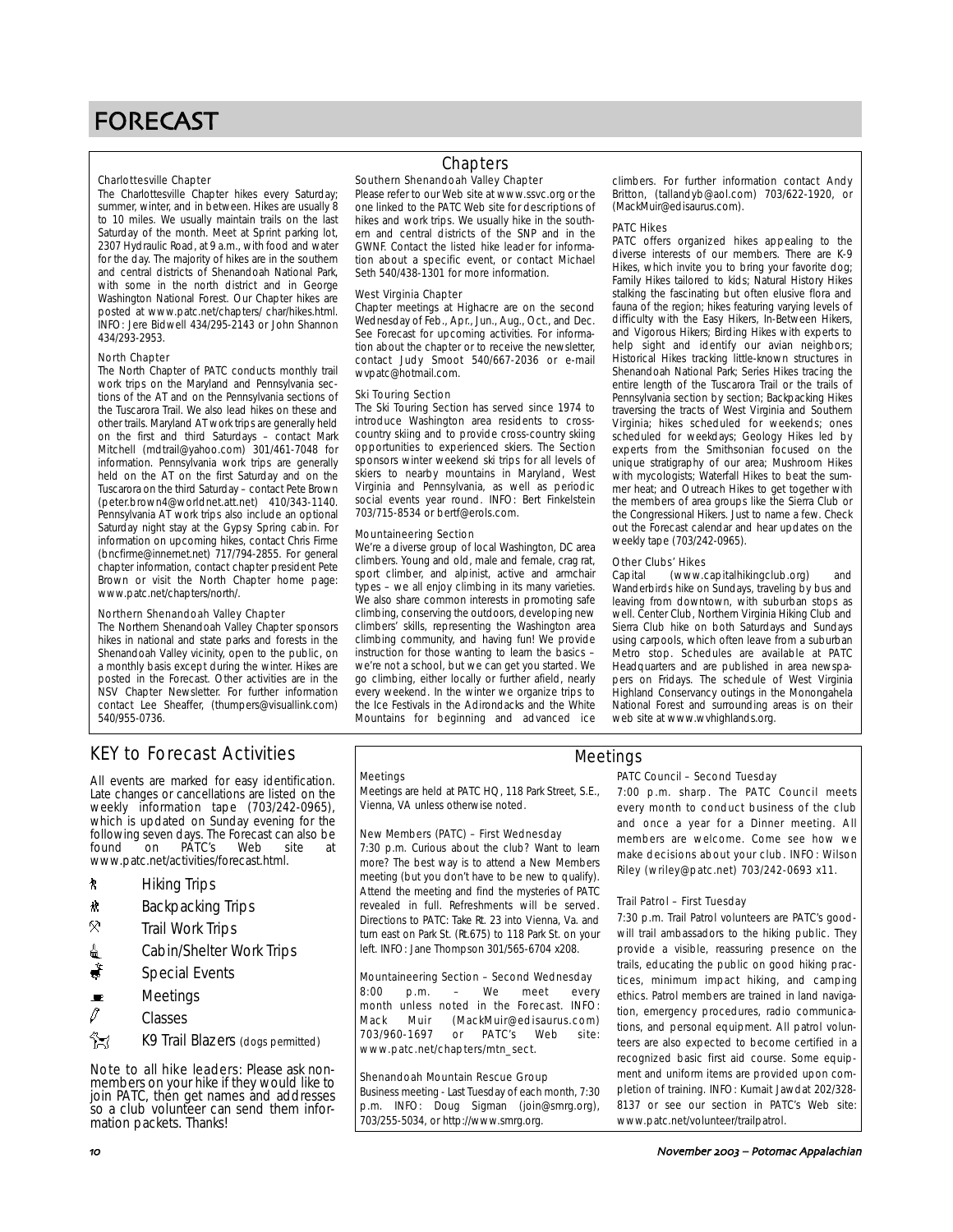#### Charlottesville Chapter

The Charlottesville Chapter hikes every Saturday; summer, winter, and in between. Hikes are usually 8 to 10 miles. We usually maintain trails on the last Saturday of the month. Meet at Sprint parking lot, 2307 Hydraulic Road, at 9 a.m., with food and water for the day. The majority of hikes are in the southern and central districts of Shenandoah National Park, with some in the north district and in George Washington National Forest. Our Chapter hikes are posted at www.patc.net/chapters/ char/hikes.html. INFO: Jere Bidwell 434/295-2143 or John Shannon 434/293-2953.

#### North Chapter

The North Chapter of PATC conducts monthly trail work trips on the Maryland and Pennsylvania sections of the AT and on the Pennsylvania sections of the Tuscarora Trail. We also lead hikes on these and other trails. Maryland AT work trips are generally held on the first and third Saturdays – contact Mark Mitchell (mdtrail@yahoo.com) 301/461-7048 for information. Pennsylvania work trips are generally held on the AT on the first Saturday and on the Tuscarora on the third Saturday – contact Pete Brown (peter.brown4@worldnet.att.net) 410/343-1140. Pennsylvania AT work trips also include an optional Saturday night stay at the Gypsy Spring cabin. For information on upcoming hikes, contact Chris Firme (bncfirme@innernet.net) 717/794-2855. For general chapter information, contact chapter president Pete Brown or visit the North Chapter home page: www.patc.net/chapters/north/.

#### Northern Shenandoah Valley Chapter

The Northern Shenandoah Valley Chapter sponsors hikes in national and state parks and forests in the Shenandoah Valley vicinity, open to the public, on a monthly basis except during the winter. Hikes are posted in the Forecast. Other activities are in the NSV Chapter Newsletter. For further information contact Lee Sheaffer, (thumpers@visuallink.com) 540/955-0736.

### Southern Shenandoah Valley Chapter **Chapters**

Please refer to our Web site at www.ssvc.org or the one linked to the PATC Web site for descriptions of hikes and work trips. We usually hike in the southern and central districts of the SNP and in the GWNF. Contact the listed hike leader for information about a specific event, or contact Michael Seth 540/438-1301 for more information.

#### West Virginia Chapter

Chapter meetings at Highacre are on the second Wednesday of Feb., Apr., Jun., Aug., Oct., and Dec. See Forecast for upcoming activities. For information about the chapter or to receive the newsletter, contact Judy Smoot 540/667-2036 or e-mail wvpatc@hotmail.com.

#### Ski Touring Section

The Ski Touring Section has served since 1974 to introduce Washington area residents to crosscountry skiing and to provide cross-country skiing opportunities to experienced skiers. The Section sponsors winter weekend ski trips for all levels of skiers to nearby mountains in Maryland, West Virginia and Pennsylvania, as well as periodic social events year round. INFO: Bert Finkelstein 703/715-8534 or bertf@erols.com.

#### Mountaineering Section

We're a diverse group of local Washington, DC area climbers. Young and old, male and female, crag rat, sport climber, and alpinist, active and armchair types – we all enjoy climbing in its many varieties. We also share common interests in promoting safe climbing, conserving the outdoors, developing new climbers' skills, representing the Washington area climbing community, and having fun! We provide instruction for those wanting to learn the basics – we're not a school, but we can get you started. We go climbing, either locally or further afield, nearly every weekend. In the winter we organize trips to the Ice Festivals in the Adirondacks and the White Mountains for beginning and advanced ice climbers. For further information contact Andy Britton, (tallandyb@aol.com) 703/622-1920, or (MackMuir@edisaurus.com).

#### PATC Hikes

PATC offers organized hikes appealing to the diverse interests of our members. There are K-9 Hikes, which invite you to bring your favorite dog; Family Hikes tailored to kids; Natural History Hikes stalking the fascinating but often elusive flora and fauna of the region; hikes featuring varying levels of difficulty with the Easy Hikers, In-Between Hikers, and Vigorous Hikers; Birding Hikes with experts to help sight and identify our avian neighbors; Historical Hikes tracking little-known structures in Shenandoah National Park; Series Hikes tracing the entire length of the Tuscarora Trail or the trails of Pennsylvania section by section; Backpacking Hikes traversing the tracts of West Virginia and Southern Virginia; hikes scheduled for weekends; ones scheduled for weekdays; Geology Hikes led by experts from the Smithsonian focused on the unique stratigraphy of our area; Mushroom Hikes with mycologists; Waterfall Hikes to beat the summer heat; and Outreach Hikes to get together with the members of area groups like the Sierra Club or the Congressional Hikers. Just to name a few. Check out the Forecast calendar and hear updates on the weekly tape (703/242-0965).

# **Other Clubs' Hikes**<br>Capital (www.c

(www.capitalhikingclub.org) and Wanderbirds hike on Sundays, traveling by bus and leaving from downtown, with suburban stops as well. Center Club, Northern Virginia Hiking Club and Sierra Club hike on both Saturdays and Sundays using carpools, which often leave from a suburban Metro stop. Schedules are available at PATC Headquarters and are published in area newspapers on Fridays. The schedule of West Virginia Highland Conservancy outings in the Monongahela National Forest and surrounding areas is on their web site at www.wvhighlands.org.

# KEY to Forecast Activities

All events are marked for easy identification. Late changes or cancellations are listed on the weekly information tape (703/242-0965), which is updated on Sunday evening for the following seven days. The Forecast can also be found on PATC's Web site at www.patc.net/activities/forecast.html.

- *k* Hiking Trips
- \* Backpacking Trips
- $\mathbb{R}$  Trail Work Trips
- **i** Cabin/Shelter Work Trips
- $\ddot{\bullet}$  Special Events
- $\blacksquare$  Meetings
- $\varnothing$  Classes
- 
- K9 Trail Blazers (dogs permitted)

Note to all hike leaders: Please ask nonmembers on your hike if they would like to join PATC, then get names and addresses so a club volunteer can send them information packets. Thanks!

#### **Meetings**

Meetings are held at PATC HQ, 118 Park Street, S.E., Vienna, VA unless otherwise noted.

#### New Members (PATC) – First Wednesday

7:30 p.m. Curious about the club? Want to learn more? The best way is to attend a New Members meeting (but you don't have to be new to qualify). Attend the meeting and find the mysteries of PATC revealed in full. Refreshments will be served. Directions to PATC: Take Rt. 23 into Vienna, Va. and turn east on Park St. (Rt.675) to 118 Park St. on your left. INFO: Jane Thompson 301/565-6704 x208.

#### Mountaineering Section – Second Wednesday

8:00 p.m. – We meet every month unless noted in the Forecast. INFO: Mack Muir (MackMuir@edisaurus.com)<br>703/960-1697 or PATC's Web site: 703/960-1697 or PATC's Web site: www.patc.net/chapters/mtn\_sect.

#### Shenandoah Mountain Rescue Group

Business meeting - Last Tuesday of each month, 7:30 p.m. INFO: Doug Sigman (join@smrg.org), 703/255-5034, or http://www.smrg.org.

# Meetings

#### PATC Council – Second Tuesday

7:00 p.m. sharp. The PATC Council meets every month to conduct business of the club and once a year for a Dinner meeting. All members are welcome. Come see how we make decisions about your club. INFO: Wilson Riley (wriley@patc.net) 703/242-0693 x11.

#### Trail Patrol – First Tuesday

7:30 p.m. Trail Patrol volunteers are PATC's goodwill trail ambassadors to the hiking public. They provide a visible, reassuring presence on the trails, educating the public on good hiking practices, minimum impact hiking, and camping ethics. Patrol members are trained in land navigation, emergency procedures, radio communications, and personal equipment. All patrol volunteers are also expected to become certified in a recognized basic first aid course. Some equipment and uniform items are provided upon completion of training. INFO: Kumait Jawdat 202/328- 8137 or see our section in PATC's Web site: www.patc.net/volunteer/trailpatrol.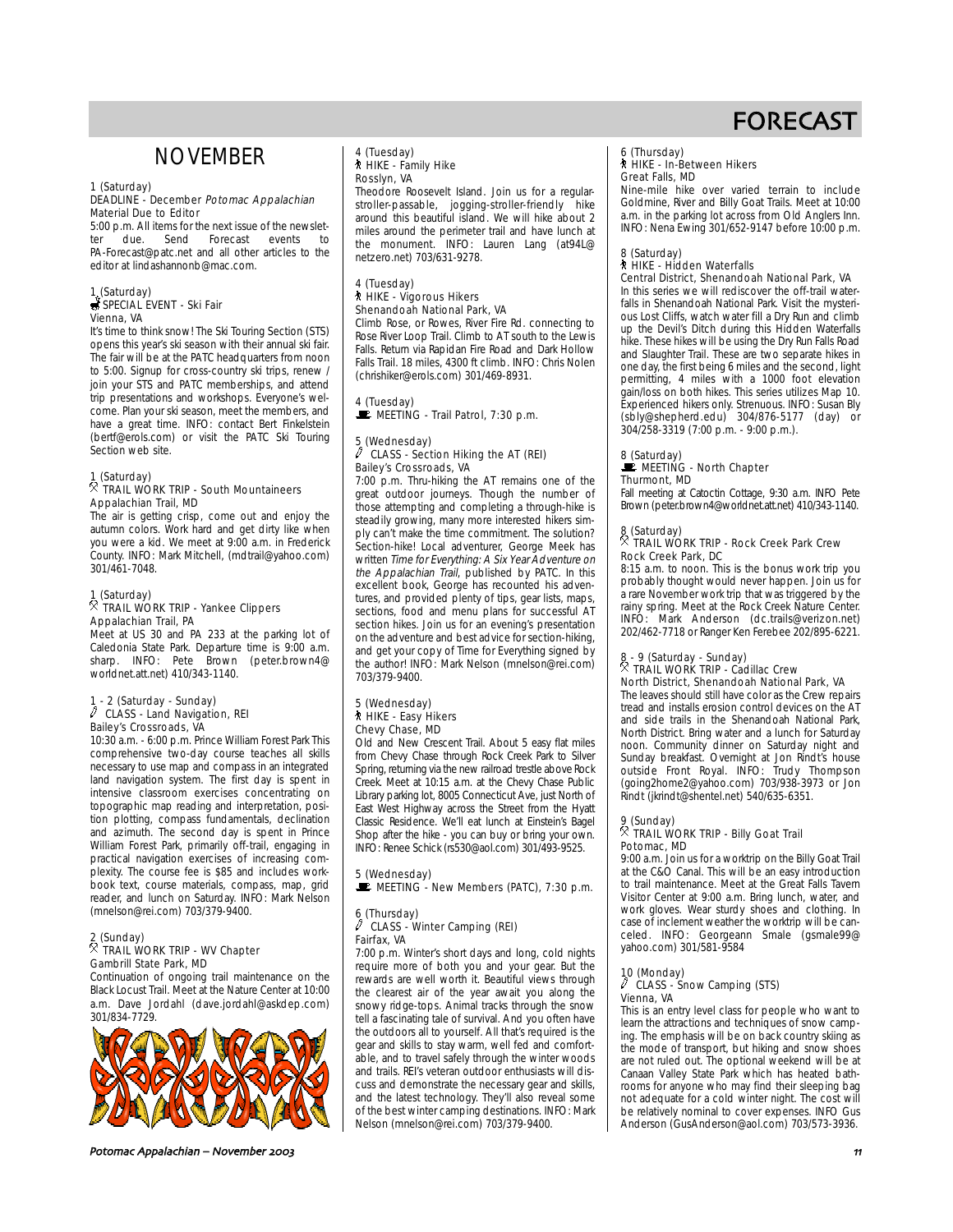# NOVEMBER

### 1 (Saturday)

#### DEADLINE - December Potomac Appalachian Material Due to Editor

5:00 p.m. All items for the next issue of the newslet-<br>ter due. Send Forecast events to ter due. Send Forecast events to PA-Forecast@patc.net and all other articles to the editor at lindashannonb@mac.com

# 1 (Saturday)<br><del>⊜</del> SPECIAL EVENT - Ski Fair Vienna, VA

It's time to think snow! The Ski Touring Section (STS) opens this year's ski season with their annual ski fair. The fair will be at the PATC headquarters from noon to 5:00. Signup for cross-country ski trips, renew / join your STS and PATC memberships, and attend trip presentations and workshops. Everyone's welcome. Plan your ski season, meet the members, and have a great time. INFO: contact Bert Finkelstein (bertf@erols.com) or visit the PATC Ski Touring Section web site.

# 1 (Saturday) . TRAIL WORK TRIP - South Mountaineers Appalachian Trail, MD

The air is getting crisp, come out and enjoy the autumn colors. Work hard and get dirty like when you were a kid. We meet at 9:00 a.m. in Frederick County. INFO: Mark Mitchell, (mdtrail@yahoo.com) 301/461-7048.

# 1 (Saturday) . TRAIL WORK TRIP - Yankee Clippers

#### Appalachian Trail, PA

Meet at US 30 and PA 233 at the parking lot of Caledonia State Park. Departure time is 9:00 a.m. sharp. INFO: Pete Brown (peter.brown4@ worldnet.att.net) 410/343-1140.

# 1 - 2 (Saturday - Sunday) a CLASS - Land Navigation, REI Bailey's Crossroads, VA

10:30 a.m. - 6:00 p.m. Prince William Forest Park This comprehensive two-day course teaches all skills necessary to use map and compass in an integrated land navigation system. The first day is spent in intensive classroom exercises concentrating on topographic map reading and interpretation, position plotting, compass fundamentals, declination and azimuth. The second day is spent in Prince William Forest Park, primarily off-trail, engaging in practical navigation exercises of increasing complexity. The course fee is \$85 and includes workbook text, course materials, compass, map, grid reader, and lunch on Saturday. INFO: Mark Nelson (mnelson@rei.com) 703/379-9400.

# 2 (Sunday) . TRAIL WORK TRIP - WV Chapter Gambrill State Park, MD

Continuation of ongoing trail maintenance on the Black Locust Trail. Meet at the Nature Center at 10:00 a.m. Dave Jordahl (dave.jordahl@askdep.com) 301/834-7729.



Potomac Appalachian – November 2003 and the state of the state of the state of the state of the state of the state of the state of the state of the state of the state of the state of the state of the state of the state of

# 4 (Tuesday) ` HIKE - Family Hike Rosslyn, VA

Theodore Roosevelt Island. Join us for a regularstroller-passable, jogging-stroller-friendly hike around this beautiful island. We will hike about 2 miles around the perimeter trail and have lunch at the monument. INFO: Lauren Lang (at94L@ netzero.net) 703/631-9278.

#### 4 (Tuesday) ` HIKE - Vigorous Hikers Shenandoah National Park, VA

Climb Rose, or Rowes, River Fire Rd. connecting to Rose River Loop Trail. Climb to AT south to the Lewis Falls. Return via Rapidan Fire Road and Dark Hollow Falls Trail. 18 miles, 4300 ft climb. INFO: Chris Nolen (chrishiker@erols.com) 301/469-8931.

# 4 (Tuesday)

**WEETING - Trail Patrol, 7:30 p.m.** 

#### 5 (Wednesday) CLASS - Section Hiking the AT (REI) Bailey's Crossroads, VA

7:00 p.m. Thru-hiking the AT remains one of the great outdoor journeys. Though the number of those attempting and completing a through-hike is steadily growing, many more interested hikers simply can't make the time commitment. The solution? Section-hike! Local adventurer, George Meek has written Time for Everything: A Six Year Adventure on the Appalachian Trail, published by PATC. In this excellent book, George has recounted his adventures, and provided plenty of tips, gear lists, maps, sections, food and menu plans for successful AT section hikes. Join us for an evening's presentation on the adventure and best advice for section-hiking, and get your copy of Time for Everything signed by the author! INFO: Mark Nelson (mnelson@rei.com) 703/379-9400.

#### 5 (Wednesday) ` HIKE - Easy Hikers Chevy Chase, MD

Old and New Crescent Trail. About 5 easy flat miles from Chevy Chase through Rock Creek Park to Silver Spring, returning via the new railroad trestle above Rock Creek. Meet at 10:15 a.m. at the Chevy Chase Public Library parking lot, 8005 Connecticut Ave, just North of East West Highway across the Street from the Hyatt Classic Residence. We'll eat lunch at Einstein's Bagel Shop after the hike - you can buy or bring your own. INFO: Renee Schick (rs530@aol.com) 301/493-9525.

# 5 (Wednesday)  $\mathbf{E}$  MEETING - New Members (PATC), 7:30 p.m.

#### 6 (Thursday) CLASS - Winter Camping (REI) Fairfax, VA

7:00 p.m. Winter's short days and long, cold nights require more of both you and your gear. But the rewards are well worth it. Beautiful views through the clearest air of the year await you along the snowy ridge-tops. Animal tracks through the snow tell a fascinating tale of survival. And you often have the outdoors all to yourself. All that's required is the gear and skills to stay warm, well fed and comfortable, and to travel safely through the winter woods and trails. REI's veteran outdoor enthusiasts will discuss and demonstrate the necessary gear and skills, and the latest technology. They'll also reveal some of the best winter camping destinations. INFO: Mark Nelson (mnelson@rei.com) 703/379-9400.

#### 6 (Thursday) ` HIKE - In-Between Hikers

### Great Falls, MD

Nine-mile hike over varied terrain to include Goldmine, River and Billy Goat Trails. Meet at 10:00 a.m. in the parking lot across from Old Anglers Inn. INFO: Nena Ewing 301/652-9147 before 10:00 p.m.

### 8 (Saturday)

# ` HIKE - Hidden Waterfalls

Central District, Shenandoah National Park, VA In this series we will rediscover the off-trail waterfalls in Shenandoah National Park. Visit the mysterious Lost Cliffs, watch water fill a Dry Run and climb up the Devil's Ditch during this Hidden Waterfalls hike. These hikes will be using the Dry Run Falls Road and Slaughter Trail. These are two separate hikes in one day, the first being 6 miles and the second, light permitting, 4 miles with a 1000 foot elevation gain/loss on both hikes. This series utilizes Map 10. Experienced hikers only. Strenuous. INFO: Susan Bly (sbly@shepherd.edu) 304/876-5177 (day) or 304/258-3319 (7:00 p.m. - 9:00 p.m.).

### 8 (Saturday)<br>WE MEETING - North Chapter Thurmont, MD

Fall meeting at Catoctin Cottage, 9:30 a.m. INFO Pete Brown (peter.brown4@worldnet.att.net) 410/343-1140.

# 8 (Saturday) . TRAIL WORK TRIP - Rock Creek Park Crew Rock Creek Park, DC

8:15 a.m. to noon. This is the bonus work trip you probably thought would never happen. Join us for a rare November work trip that was triggered by the rainy spring. Meet at the Rock Creek Nature Center. INFO: Mark Anderson (dc.trails@verizon.net) 202/462-7718 or Ranger Ken Ferebee 202/895-6221.

### 8 - 9 (Saturday - Sunday) . TRAIL WORK TRIP - Cadillac Crew North District, Shenandoah National Park, VA

The leaves should still have color as the Crew repairs tread and installs erosion control devices on the AT and side trails in the Shenandoah National Park, North District. Bring water and a lunch for Saturday noon. Community dinner on Saturday night and Sunday breakfast. Overnight at Jon Rindt's house outside Front Royal. INFO: Trudy Thompson (going2home2@yahoo.com) 703/938-3973 or Jon Rindt (jkrindt@shentel.net) 540/635-6351.

# 9 (Sunday) . TRAIL WORK TRIP - Billy Goat Trail Potomac, MD

9:00 a.m. Join us for a worktrip on the Billy Goat Trail at the C&O Canal. This will be an easy introduction to trail maintenance. Meet at the Great Falls Tavern Visitor Center at 9:00 a.m. Bring lunch, water, and work gloves. Wear sturdy shoes and clothing. In case of inclement weather the worktrip will be canceled. INFO: Georgeann Smale (gsmale99@ yahoo.com) 301/581-9584

### 10 (Monday)

#### CLASS - Snow Camping (STS) Vienna, VA

This is an entry level class for people who want to learn the attractions and techniques of snow camping. The emphasis will be on back country skiing as the mode of transport, but hiking and snow shoes are not ruled out. The optional weekend will be at Canaan Valley State Park which has heated bathrooms for anyone who may find their sleeping bag not adequate for a cold winter night. The cost will be relatively nominal to cover expenses. INFO Gus Anderson (GusAnderson@aol.com) 703/573-3936.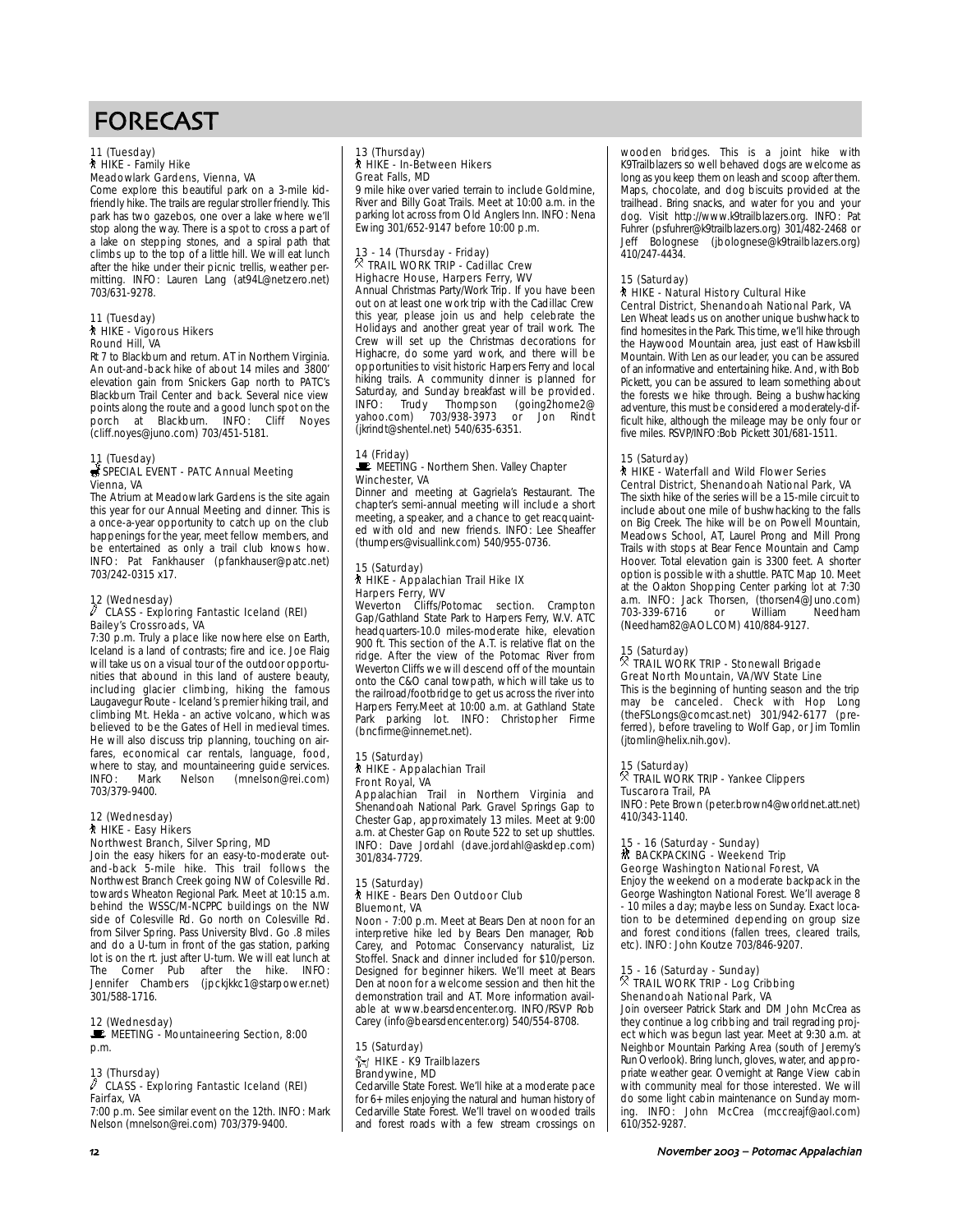#### 11 (Tuesday) ` HIKE - Family Hike Meadowlark Gardens, Vienna, VA

Come explore this beautiful park on a 3-mile kidfriendly hike. The trails are regular stroller friendly. This park has two gazebos, one over a lake where we'll stop along the way. There is a spot to cross a part of a lake on stepping stones, and a spiral path that climbs up to the top of a little hill. We will eat lunch after the hike under their picnic trellis, weather permitting. INFO: Lauren Lang (at94L@netzero.net) 703/631-9278.

#### 11 (Tuesday) ` HIKE - Vigorous Hikers Round Hill, VA

Rt 7 to Blackburn and return. AT in Northern Virginia. An out-and-back hike of about 14 miles and 3800' elevation gain from Snickers Gap north to PATC's Blackburn Trail Center and back. Several nice view points along the route and a good lunch spot on the<br>norch at Blackburn. INFO: Cliff Noyes porch at Blackburn. INFO: Cliff Noyes (cliff.noyes@juno.com) 703/451-5181.

# 11 (Tuesday)<br>*S*SPECIAL EVENT - PATC Annual Meeting Vienna, VA

The Atrium at Meadowlark Gardens is the site again this year for our Annual Meeting and dinner. This is a once-a-year opportunity to catch up on the club happenings for the year, meet fellow members, and be entertained as only a trail club knows how. INFO: Pat Fankhauser (pfankhauser@patc.net) 703/242-0315 x17.

#### 12 (Wednesday)  $\sqrt{2}$  CLASS - Exploring Fantastic Iceland (REI) Bailey's Crossroads, VA

7:30 p.m. Truly a place like nowhere else on Earth, Iceland is a land of contrasts; fire and ice. Joe Flaig will take us on a visual tour of the outdoor opportunities that abound in this land of austere beauty, including glacier climbing, hiking the famous Laugavegur Route - Iceland's premier hiking trail, and climbing Mt. Hekla - an active volcano, which was believed to be the Gates of Hell in medieval times. He will also discuss trip planning, touching on airfares, economical car rentals, language, food, where to stay, and mountaineering guide services.<br>INFO: Mark Nelson (mnelson@rei.com) (mnelson@rei.com) 703/379-9400.

#### 12 (Wednesday) ` HIKE - Easy Hikers Northwest Branch, Silver Spring, MD

Join the easy hikers for an easy-to-moderate outand-back 5-mile hike. This trail follows the Northwest Branch Creek going NW of Colesville Rd. towards Wheaton Regional Park. Meet at 10:15 a.m. behind the WSSC/M-NCPPC buildings on the NW side of Colesville Rd. Go north on Colesville Rd. from Silver Spring. Pass University Blvd. Go .8 miles and do a U-turn in front of the gas station, parking lot is on the rt. just after U-turn. We will eat lunch at The Corner Pub after the hike. INFO: Jennifer Chambers (jpckjkkc1@starpower.net) 301/588-1716.

#### 12 (Wednesday) MEETING - Mountaineering Section, 8:00

p.m.

### 13 (Thursday)

 $\sqrt{\phantom{a}}$  CLASS - Exploring Fantastic Iceland (REI) Fairfax, VA

7:00 p.m. See similar event on the 12th. INFO: Mark Nelson (mnelson@rei.com) 703/379-9400.

# 13 (Thursday) ` HIKE - In-Between Hikers Great Falls, MD

9 mile hike over varied terrain to include Goldmine, River and Billy Goat Trails. Meet at 10:00 a.m. in the parking lot across from Old Anglers Inn. INFO: Nena Ewing 301/652-9147 before 10:00 p.m.

# 13 - 14 (Thursday - Friday) . TRAIL WORK TRIP - Cadillac Crew Highacre House, Harpers Ferry, WV

Annual Christmas Party/Work Trip. If you have been out on at least one work trip with the Cadillac Crew this year, please join us and help celebrate the Holidays and another great year of trail work. The Crew will set up the Christmas decorations for Highacre, do some yard work, and there will be opportunities to visit historic Harpers Ferry and local hiking trails. A community dinner is planned for Saturday, and Sunday breakfast will be provided. INFO: Trudy Thompson (going2home2@ yahoo.com) 703/938-3973 or Jon Rindt (jkrindt@shentel.net) 540/635-6351.

#### 14 (Friday) MEETING - Northern Shen. Valley Chapter Winchester, VA

Dinner and meeting at Gagriela's Restaurant. The chapter's semi-annual meeting will include a short meeting, a speaker, and a chance to get reacquainted with old and new friends. INFO: Lee Sheaffer (thumpers@visuallink.com) 540/955-0736.

#### 15 (Saturday) ` HIKE - Appalachian Trail Hike IX Harpers Ferry, WV

Weverton Cliffs/Potomac section. Crampton Gap/Gathland State Park to Harpers Ferry, W.V. ATC headquarters-10.0 miles-moderate hike, elevation 900 ft. This section of the A.T. is relative flat on the ridge. After the view of the Potomac River from Weverton Cliffs we will descend off of the mountain onto the C&O canal towpath, which will take us to the railroad/footbridge to get us across the river into Harpers Ferry.Meet at 10:00 a.m. at Gathland State Park parking lot. INFO: Christopher Firme (bncfirme@innernet.net).

#### 15 (Saturday) **A** HIKE - Appalachian Trail Front Royal, VA

Appalachian Trail in Northern Virginia and Shenandoah National Park. Gravel Springs Gap to Chester Gap, approximately 13 miles. Meet at 9:00 a.m. at Chester Gap on Route 522 to set up shuttles. INFO: Dave Jordahl (dave.jordahl@askdep.com) 301/834-7729.

#### 15 (Saturday) ` HIKE - Bears Den Outdoor Club Bluemont, VA

Noon - 7:00 p.m. Meet at Bears Den at noon for an interpretive hike led by Bears Den manager, Rob Carey, and Potomac Conservancy naturalist, Liz Stoffel. Snack and dinner included for \$10/person. Designed for beginner hikers. We'll meet at Bears Den at noon for a welcome session and then hit the demonstration trail and AT. More information available at www.bearsdencenter.org. INFO/RSVP Rob Carey (info@bearsdencenter.org) 540/554-8708.

#### 15 (Saturday)  $\frac{2}{12}$  HIKE - K9 Trailblazers Brandywine, MD

Cedarville State Forest. We'll hike at a moderate pace for 6+ miles enjoying the natural and human history of Cedarville State Forest. We'll travel on wooded trails and forest roads with a few stream crossings on wooden bridges. This is a joint hike with K9Trailblazers so well behaved dogs are welcome as long as you keep them on leash and scoop after them. Maps, chocolate, and dog biscuits provided at the trailhead. Bring snacks, and water for you and your dog. Visit http://www.k9trailblazers.org. INFO: Pat Fuhrer (psfuhrer@k9trailblazers.org) 301/482-2468 or Jeff Bolognese (jbolognese@k9trailblazers.org) 410/247-4434.

### 15 (Saturday)

#### ` HIKE - Natural History Cultural Hike Central District, Shenandoah National Park, VA

Len Wheat leads us on another unique bushwhack to find homesites in the Park. This time, we'll hike through the Haywood Mountain area, just east of Hawksbill Mountain. With Len as our leader, you can be assured of an informative and entertaining hike. And, with Bob Pickett, you can be assured to learn something about the forests we hike through. Being a bushwhacking adventure, this must be considered a moderately-difficult hike, although the mileage may be only four or five miles. RSVP/INFO:Bob Pickett 301/681-1511.

#### 15 (Saturday)

#### ` HIKE - Waterfall and Wild Flower Series Central District, Shenandoah National Park, VA

The sixth hike of the series will be a 15-mile circuit to include about one mile of bushwhacking to the falls on Big Creek. The hike will be on Powell Mountain, Meadows School, AT, Laurel Prong and Mill Prong Trails with stops at Bear Fence Mountain and Camp Hoover. Total elevation gain is 3300 feet. A shorter option is possible with a shuttle. PATC Map 10. Meet at the Oakton Shopping Center parking lot at 7:30 a.m. INFO: Jack Thorsen, (thorsen4@Juno.com)<br>703-339-6716 or William Needham 703-339-6716 or (Needham82@AOL.COM) 410/884-9127.

# 15 (Saturday) . TRAIL WORK TRIP - Stonewall Brigade Great North Mountain, VA/WV State Line

This is the beginning of hunting season and the trip may be canceled. Check with Hop Long (theFSLongs@comcast.net) 301/942-6177 (preferred), before traveling to Wolf Gap, or Jim Tomlin (jtomlin@helix.nih.gov).

# 15 (Saturday) . TRAIL WORK TRIP - Yankee Clippers Tuscarora Trail, PA

INFO: Pete Brown (peter.brown4@worldnet.att.net) 410/343-1140.

# 15 - 16 (Saturday - Sunday)<br>M BACKPACKING - Weekend Trip George Washington National Forest, VA

Enjoy the weekend on a moderate backpack in the George Washington National Forest. We'll average 8 - 10 miles a day; maybe less on Sunday. Exact location to be determined depending on group size and forest conditions (fallen trees, cleared trails, etc). INFO: John Koutze 703/846-9207.

# 15 - 16 (Saturday - Sunday) . TRAIL WORK TRIP - Log Cribbing Shenandoah National Park, VA

Join overseer Patrick Stark and DM John McCrea as they continue a log cribbing and trail regrading project which was begun last year. Meet at 9:30 a.m. at Neighbor Mountain Parking Area (south of Jeremy's Run Overlook). Bring lunch, gloves, water, and appropriate weather gear. Overnight at Range View cabin with community meal for those interested. We will do some light cabin maintenance on Sunday morning. INFO: John McCrea (mccreajf@aol.com) 610/352-9287.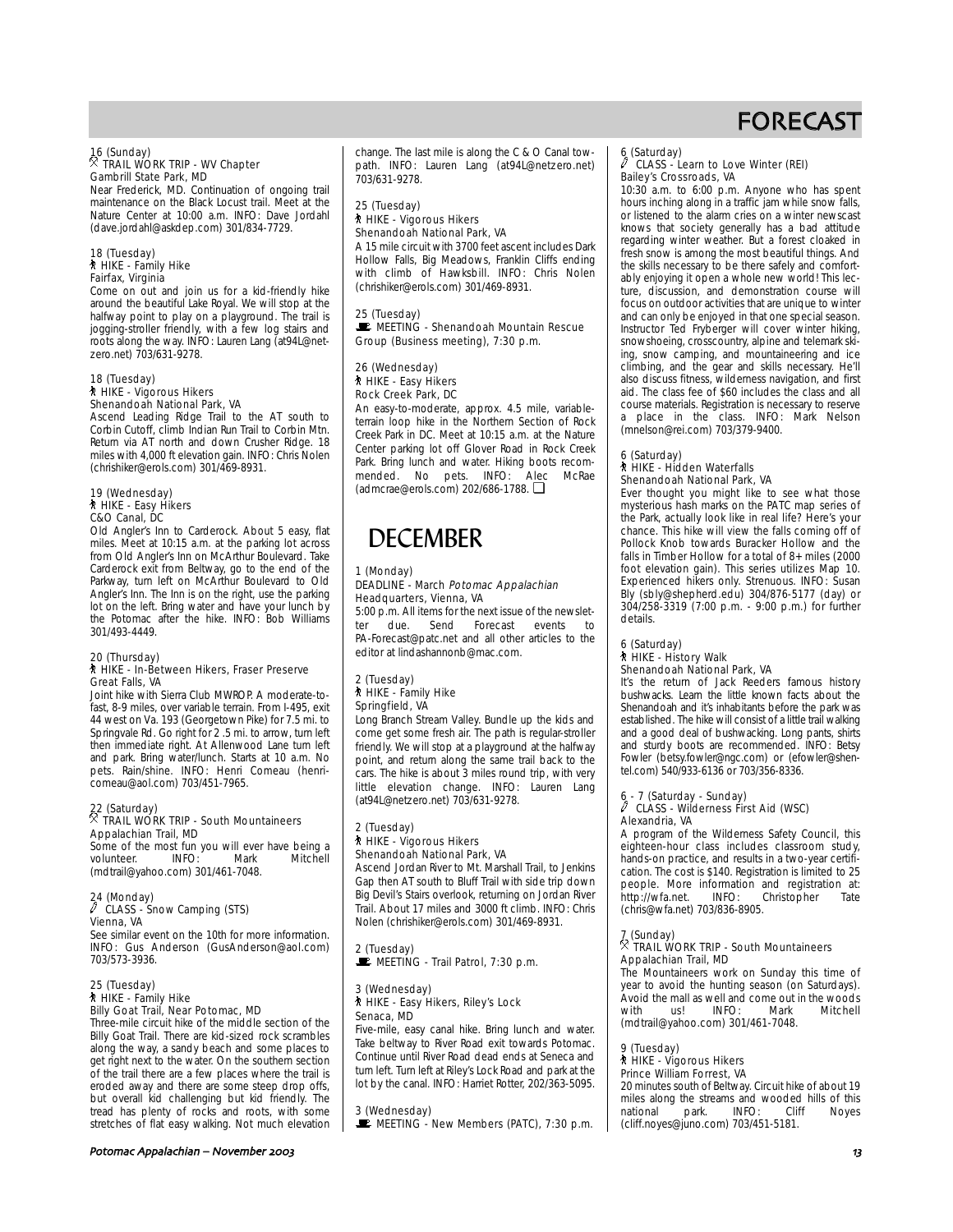# 16 (Sunday) . TRAIL WORK TRIP - WV Chapter Gambrill State Park, MD

Near Frederick, MD. Continuation of ongoing trail maintenance on the Black Locust trail. Meet at the Nature Center at 10:00 a.m. INFO: Dave Jordahl (dave.jordahl@askdep.com) 301/834-7729.

#### 18 (Tuesday) ` HIKE - Family Hike Fairfax, Virginia

Come on out and join us for a kid-friendly hike around the beautiful Lake Royal. We will stop at the halfway point to play on a playground. The trail is jogging-stroller friendly, with a few log stairs and roots along the way. INFO: Lauren Lang (at94L@netzero.net) 703/631-9278.

# 18 (Tuesday)<br>∕ो HIKE - Vigorous Hikers Shenandoah National Park, VA

Ascend Leading Ridge Trail to the AT south to Corbin Cutoff, climb Indian Run Trail to Corbin Mtn. Return via AT north and down Crusher Ridge. 18 miles with 4,000 ft elevation gain. INFO: Chris Nolen (chrishiker@erols.com) 301/469-8931.

#### 19 (Wednesday) ` HIKE - Easy Hikers C&O Canal, DC

Old Angler's Inn to Carderock. About 5 easy, flat miles. Meet at 10:15 a.m. at the parking lot across from Old Angler's Inn on McArthur Boulevard. Take Carderock exit from Beltway, go to the end of the Parkway, turn left on McArthur Boulevard to Old Angler's Inn. The Inn is on the right, use the parking lot on the left. Bring water and have your lunch by the Potomac after the hike. INFO: Bob Williams 301/493-4449.

### 20 (Thursday)

#### ` HIKE - In-Between Hikers, Fraser Preserve Great Falls, VA

Joint hike with Sierra Club MWROP. A moderate-tofast, 8-9 miles, over variable terrain. From I-495, exit 44 west on Va. 193 (Georgetown Pike) for 7.5 mi. to Springvale Rd. Go right for 2 .5 mi. to arrow, turn left then immediate right. At Allenwood Lane turn left and park. Bring water/lunch. Starts at 10 a.m. No pets. Rain/shine. INFO: Henri Comeau (henricomeau@aol.com) 703/451-7965.

# 22 (Saturday) . TRAIL WORK TRIP - South Mountaineers Appalachian Trail, MD

Some of the most fun you will ever have being a<br>volunteer. INFO: Mark Mitchell volunteer. INFO: Mark Mitchell (mdtrail@yahoo.com) 301/461-7048.

### 24 (Monday)

#### a CLASS - Snow Camping (STS) Vienna, VA

See similar event on the 10th for more information. INFO: Gus Anderson (GusAnderson@aol.com) 703/573-3936.

#### 25 (Tuesday) ` HIKE - Family Hike Billy Goat Trail, Near Potomac, MD

Three-mile circuit hike of the middle section of the Billy Goat Trail. There are kid-sized rock scrambles along the way, a sandy beach and some places to get right next to the water. On the southern section of the trail there are a few places where the trail is eroded away and there are some steep drop offs, but overall kid challenging but kid friendly. The tread has plenty of rocks and roots, with some stretches of flat easy walking. Not much elevation

Potomac Appalachian – November 2003 and the state of the state of the state of the state of the state of the state of the state of the state of the state of the state of the state of the state of the state of the state of

change. The last mile is along the C & O Canal towpath. INFO: Lauren Lang (at94L@netzero.net) 703/631-9278.

### 25 (Tuesday) ` HIKE - Vigorous Hikers Shenandoah National Park, VA

A 15 mile circuit with 3700 feet ascent includes Dark Hollow Falls, Big Meadows, Franklin Cliffs ending with climb of Hawksbill. INFO: Chris Nolen (chrishiker@erols.com) 301/469-8931.

### 25 (Tuesday) MEETING - Shenandoah Mountain Rescue Group (Business meeting), 7:30 p.m.

#### 26 (Wednesday) ` HIKE - Easy Hikers Rock Creek Park, DC

An easy-to-moderate, approx. 4.5 mile, variableterrain loop hike in the Northern Section of Rock Creek Park in DC. Meet at 10:15 a.m. at the Nature Center parking lot off Glover Road in Rock Creek Park. Bring lunch and water. Hiking boots recommended. No pets. INFO: Alec McRae (admcrae@erols.com) 202/686-1788. ❏

# **DECEMBER**

#### 1 (Monday) DEADLINE - March Potomac Appalachian Headquarters, Vienna, VA

5:00 p.m. All items for the next issue of the newslet-<br>ter due. Send Forecast events to ter due. Send Forecast events to PA-Forecast@patc.net and all other articles to the editor at lindashannonb@mac.com.

#### 2 (Tuesday) ` HIKE - Family Hike Springfield, VA

Long Branch Stream Valley. Bundle up the kids and come get some fresh air. The path is regular-stroller friendly. We will stop at a playground at the halfway point, and return along the same trail back to the cars. The hike is about 3 miles round trip, with very little elevation change. INFO: Lauren Lang (at94L@netzero.net) 703/631-9278.

#### 2 (Tuesday) ` HIKE - Vigorous Hikers Shenandoah National Park, VA

Ascend Jordan River to Mt. Marshall Trail, to Jenkins Gap then AT south to Bluff Trail with side trip down Big Devil's Stairs overlook, returning on Jordan River Trail. About 17 miles and 3000 ft climb. INFO: Chris Nolen (chrishiker@erols.com) 301/469-8931.

#### 2 (Tuesday)  $\mathbf{E}$  MEETING - Trail Patrol, 7:30 p.m.

3 (Wednesday) ` HIKE - Easy Hikers, Riley's Lock Senaca, MD

Five-mile, easy canal hike. Bring lunch and water. Take beltway to River Road exit towards Potomac. Continue until River Road dead ends at Seneca and turn left. Turn left at Riley's Lock Road and park at the lot by the canal. INFO: Harriet Rotter, 202/363-5095.

3 (Wednesday) MEETING - New Members (PATC), 7:30 p.m.

# 6 (Saturday)<br>CLACC

#### CLASS - Learn to Love Winter (REI) Bailey's Crossroads, VA

10:30 a.m. to 6:00 p.m. Anyone who has spent hours inching along in a traffic jam while snow falls, or listened to the alarm cries on a winter newscast knows that society generally has a bad attitude regarding winter weather. But a forest cloaked in fresh snow is among the most beautiful things. And the skills necessary to be there safely and comfortably enjoying it open a whole new world! This lecture, discussion, and demonstration course will focus on outdoor activities that are unique to winter and can only be enjoyed in that one special season. Instructor Ted Fryberger will cover winter hiking, snowshoeing, crosscountry, alpine and telemark skiing, snow camping, and mountaineering and ice climbing, and the gear and skills necessary. He'll also discuss fitness, wilderness navigation, and first aid. The class fee of \$60 includes the class and all course materials. Registration is necessary to reserve a place in the class. INFO: Mark Nelson (mnelson@rei.com) 703/379-9400.

#### 6 (Saturday) ` HIKE - Hidden Waterfalls Shenandoah National Park, VA

Ever thought you might like to see what those mysterious hash marks on the PATC map series of the Park, actually look like in real life? Here's your chance. This hike will view the falls coming off of Pollock Knob towards Buracker Hollow and the falls in Timber Hollow for a total of 8+ miles (2000 foot elevation gain). This series utilizes Map 10. Experienced hikers only. Strenuous. INFO: Susan Bly (sbly@shepherd.edu) 304/876-5177 (day) or 304/258-3319 (7:00 p.m. - 9:00 p.m.) for further details.

# 6 (Saturday) ` HIKE - History Walk

Shenandoah National Park, VA It's the return of Jack Reeders famous history bushwacks. Learn the little known facts about the Shenandoah and it's inhabitants before the park was established. The hike will consist of a little trail walking and a good deal of bushwacking. Long pants, shirts and sturdy boots are recommended. INFO: Betsy Fowler (betsy.fowler@ngc.com) or (efowler@shentel.com) 540/933-6136 or 703/356-8336.

### 6 - 7 (Saturday - Sunday)

#### $\mathscr I$  CLASS - Wilderness First Aid (WSC) Alexandria, VA

A program of the Wilderness Safety Council, this eighteen-hour class includes classroom study, hands-on practice, and results in a two-year certification. The cost is \$140. Registration is limited to 25 people. More information and registration at:<br>http://wfa.net. INFO: Christopher Tate Christopher (chris@wfa.net) 703/836-8905.

# 7 (Sunday) . TRAIL WORK TRIP - South Mountaineers Appalachian Trail, MD

The Mountaineers work on Sunday this time of year to avoid the hunting season (on Saturdays). Avoid the mall as well and come out in the woods<br>with us! INFO: Mark Mitchell with us! INFO: Mark Mitchell (mdtrail@yahoo.com) 301/461-7048.

#### 9 (Tuesday)

↑ HIKE - Vigorous Hikers Prince William Forrest, VA

20 minutes south of Beltway. Circuit hike of about 19 miles along the streams and wooded hills of this<br>national park. INFO: Cliff Noves park. (cliff.noyes@juno.com) 703/451-5181.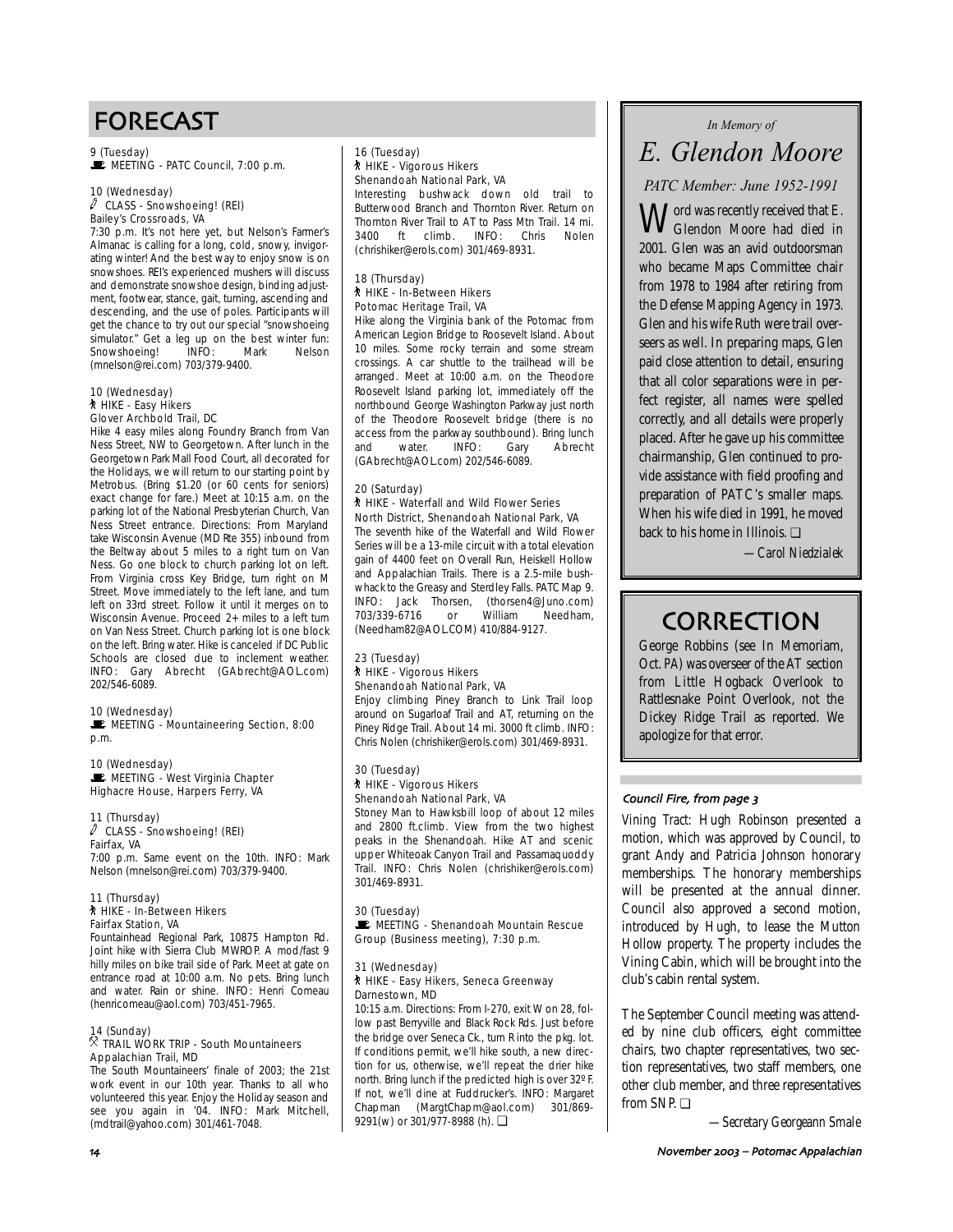9 (Tuesday)  $\mathbf{\mathbb{E}}$  MEETING - PATC Council, 7:00 p.m.

#### 10 (Wednesday)  $\ell$  CLASS - Snowshoeing! (REI) Bailey's Crossroads, VA

7:30 p.m. It's not here yet, but Nelson's Farmer's Almanac is calling for a long, cold, snowy, invigorating winter! And the best way to enjoy snow is on snowshoes. REI's experienced mushers will discuss and demonstrate snowshoe design, binding adjustment, footwear, stance, gait, turning, ascending and descending, and the use of poles. Participants will get the chance to try out our special "snowshoeing simulator." Get a leg up on the best winter fun: Snowshoeing! INFO: Mark Nelson (mnelson@rei.com) 703/379-9400.

#### 10 (Wednesday) ` HIKE - Easy Hikers Glover Archbold Trail, DC

Hike 4 easy miles along Foundry Branch from Van Ness Street, NW to Georgetown. After lunch in the Georgetown Park Mall Food Court, all decorated for the Holidays, we will return to our starting point by Metrobus. (Bring \$1.20 (or 60 cents for seniors) exact change for fare.) Meet at 10:15 a.m. on the parking lot of the National Presbyterian Church, Van Ness Street entrance. Directions: From Maryland take Wisconsin Avenue (MD Rte 355) inbound from the Beltway about 5 miles to a right turn on Van Ness. Go one block to church parking lot on left. From Virginia cross Key Bridge, turn right on M Street. Move immediately to the left lane, and turn left on 33rd street. Follow it until it merges on to Wisconsin Avenue. Proceed 2+ miles to a left turn on Van Ness Street. Church parking lot is one block on the left. Bring water. Hike is canceled if DC Public Schools are closed due to inclement weather. INFO: Gary Abrecht (GAbrecht@AOL.com) 202/546-6089.

### 10 (Wednesday)

MEETING - Mountaineering Section, 8:00 p.m.

10 (Wednesday)  $\mathbf{E}$  MEETING - West Virginia Chapter Highacre House, Harpers Ferry, VA

11 (Thursday) a CLASS - Snowshoeing! (REI) Fairfax, VA

7:00 p.m. Same event on the 10th. INFO: Mark Nelson (mnelson@rei.com) 703/379-9400.

#### 11 (Thursday) ` HIKE - In-Between Hikers Fairfax Station, VA

Fountainhead Regional Park, 10875 Hampton Rd. Joint hike with Sierra Club MWROP. A mod/fast 9 hilly miles on bike trail side of Park. Meet at gate on entrance road at 10:00 a.m. No pets. Bring lunch and water. Rain or shine. INFO: Henri Comeau (henricomeau@aol.com) 703/451-7965.

#### 14 (Sunday)  $\%$  TRAIL WORK TRIP - South Mountaineers

# Appalachian Trail, MD

The South Mountaineers' finale of 2003; the 21st work event in our 10th year. Thanks to all who volunteered this year. Enjoy the Holiday season and see you again in '04. INFO: Mark Mitchell, (mdtrail@yahoo.com) 301/461-7048.

### 16 (Tuesday) ` HIKE - Vigorous Hikers Shenandoah National Park, VA

Interesting bushwack down old trail to Butterwood Branch and Thornton River. Return on Thornton River Trail to AT to Pass Mtn Trail. 14 mi. 3400 ft climb. INFO: Chris Nolen (chrishiker@erols.com) 301/469-8931.

#### 18 (Thursday) ` HIKE - In-Between Hikers Potomac Heritage Trail, VA

Hike along the Virginia bank of the Potomac from American Legion Bridge to Roosevelt Island. About 10 miles. Some rocky terrain and some stream crossings. A car shuttle to the trailhead will be arranged. Meet at 10:00 a.m. on the Theodore Roosevelt Island parking lot, immediately off the northbound George Washington Parkway just north of the Theodore Roosevelt bridge (there is no access from the parkway southbound). Bring lunch and water. INFO: Gary Abrecht (GAbrecht@AOL.com) 202/546-6089.

#### 20 (Saturday) **A** HIKE - Waterfall and Wild Flower Series North District, Shenandoah National Park, VA

The seventh hike of the Waterfall and Wild Flower Series will be a 13-mile circuit with a total elevation gain of 4400 feet on Overall Run, Heiskell Hollow and Appalachian Trails. There is a 2.5-mile bushwhack to the Greasy and Sterdley Falls. PATC Map 9. INFO: Jack Thorsen, (thorsen4@Juno.com)<br>703/339-6716 or William Needham, 703/339-6716 (Needham82@AOL.COM) 410/884-9127.

### 23 (Tuesday) ` HIKE - Vigorous Hikers Shenandoah National Park, VA

Enjoy climbing Piney Branch to Link Trail loop around on Sugarloaf Trail and AT, returning on the Piney Ridge Trail. About 14 mi. 3000 ft climb. INFO: Chris Nolen (chrishiker@erols.com) 301/469-8931.

### 30 (Tuesday) ` HIKE - Vigorous Hikers Shenandoah National Park, VA

Stoney Man to Hawksbill loop of about 12 miles and 2800 ft.climb. View from the two highest peaks in the Shenandoah. Hike AT and scenic upper Whiteoak Canyon Trail and Passamaquoddy Trail. INFO: Chris Nolen (chrishiker@erols.com) 301/469-8931.

### 30 (Tuesday) MEETING - Shenandoah Mountain Rescue Group (Business meeting), 7:30 p.m.

#### 31 (Wednesday) ` HIKE - Easy Hikers, Seneca Greenway Darnestown, MD

10:15 a.m. Directions: From I-270, exit W on 28, follow past Berryville and Black Rock Rds. Just before the bridge over Seneca Ck., turn R into the pkg. lot. If conditions permit, we'll hike south, a new direction for us, otherwise, we'll repeat the drier hike north. Bring lunch if the predicted high is over 32º F. If not, we'll dine at Fuddrucker's. INFO: Margaret Chapman (MargtChapm@aol.com) 301/869- 9291(w) or 301/977-8988 (h). □

# *In Memory of*

# *E. Glendon Moore*

*PATC Member: June 1952-1991*

 $\mathbf{M}$  ord was recently received that E. Glendon Moore had died in 2001. Glen was an avid outdoorsman who became Maps Committee chair from 1978 to 1984 after retiring from the Defense Mapping Agency in 1973. Glen and his wife Ruth were trail overseers as well. In preparing maps, Glen paid close attention to detail, ensuring that all color separations were in perfect register, all names were spelled correctly, and all details were properly placed. After he gave up his committee chairmanship, Glen continued to provide assistance with field proofing and preparation of PATC's smaller maps. When his wife died in 1991, he moved back to his home in Illinois. ❏

*—Carol Niedzialek*

# **CORRECTION**

George Robbins (see In Memoriam, Oct. *PA*) was overseer of the AT section from Little Hogback Overlook to Rattlesnake Point Overlook, not the Dickey Ridge Trail as reported. We apologize for that error.

### Council Fire, from page 3

*Vining Tract:* Hugh Robinson presented a motion, which was approved by Council, to grant Andy and Patricia Johnson honorary memberships. The honorary memberships will be presented at the annual dinner. Council also approved a second motion, introduced by Hugh, to lease the Mutton Hollow property. The property includes the Vining Cabin, which will be brought into the club's cabin rental system.

The September Council meeting was attended by nine club officers, eight committee chairs, two chapter representatives, two section representatives, two staff members, one other club member, and three representatives from SNP. ❏

*—Secretary Georgeann Smale*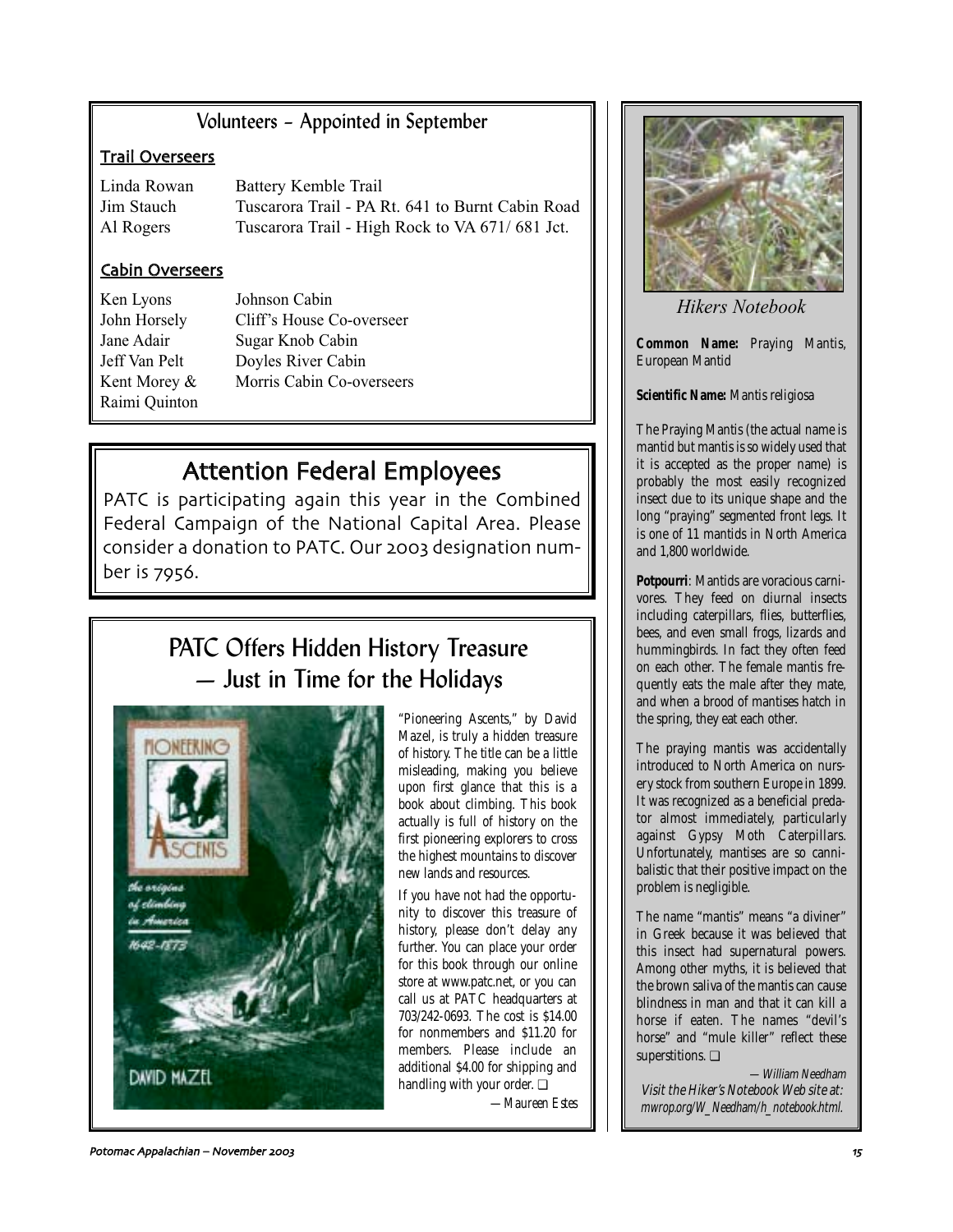# Volunteers – Appointed in September

# Trail Overseers

Linda Rowan Battery Kemble Trail Jim Stauch Tuscarora Trail - PA Rt. 641 to Burnt Cabin Road Al Rogers Tuscarora Trail - High Rock to VA 671/681 Jct.

# Cabin Overseers

Ken Lyons Johnson Cabin Raimi Quinton

John Horsely Cliff's House Co-overseer Jane Adair Sugar Knob Cabin Jeff Van Pelt Doyles River Cabin Kent Morey & Morris Cabin Co-overseers

# Attention Federal Employees

PATC is participating again this year in the Combined Federal Campaign of the National Capital Area. Please consider a donation to PATC. Our 2003 designation number is 7956.

# PATC Offers Hidden History Treasure — Just in Time for the Holidays



"Pioneering Ascents," by David Mazel, is truly a hidden treasure of history. The title can be a little misleading, making you believe upon first glance that this is a book about climbing. This book actually is full of history on the first pioneering explorers to cross the highest mountains to discover new lands and resources.

If you have not had the opportunity to discover this treasure of history, please don't delay any further. You can place your order for this book through our online store at www.patc.net, or you can call us at PATC headquarters at 703/242-0693. The cost is \$14.00 for nonmembers and \$11.20 for members. Please include an additional \$4.00 for shipping and handling with your order. ❏

*—Maureen Estes*



*Hikers Notebook*

**Common Name:** Praying Mantis, European Mantid

**Scientific Name:** Mantis religiosa

The Praying Mantis (the actual name is mantid but mantis is so widely used that it is accepted as the proper name) is probably the most easily recognized insect due to its unique shape and the long "praying" segmented front legs. It is one of 11 mantids in North America and 1,800 worldwide.

**Potpourri**: Mantids are voracious carnivores. They feed on diurnal insects including caterpillars, flies, butterflies, bees, and even small frogs, lizards and hummingbirds. In fact they often feed on each other. The female mantis frequently eats the male after they mate, and when a brood of mantises hatch in the spring, they eat each other.

The praying mantis was accidentally introduced to North America on nursery stock from southern Europe in 1899. It was recognized as a beneficial predator almost immediately, particularly against Gypsy Moth Caterpillars. Unfortunately, mantises are so cannibalistic that their positive impact on the problem is negligible.

The name "mantis" means "a diviner" in Greek because it was believed that this insect had supernatural powers. Among other myths, it is believed that the brown saliva of the mantis can cause blindness in man and that it can kill a horse if eaten. The names "devil's horse" and "mule killer" reflect these superstitions. ❏

—William Needham Visit the Hiker's Notebook Web site at: mwrop.org/W\_Needham/h\_notebook.html.

Potomac Appalachian – November + 6'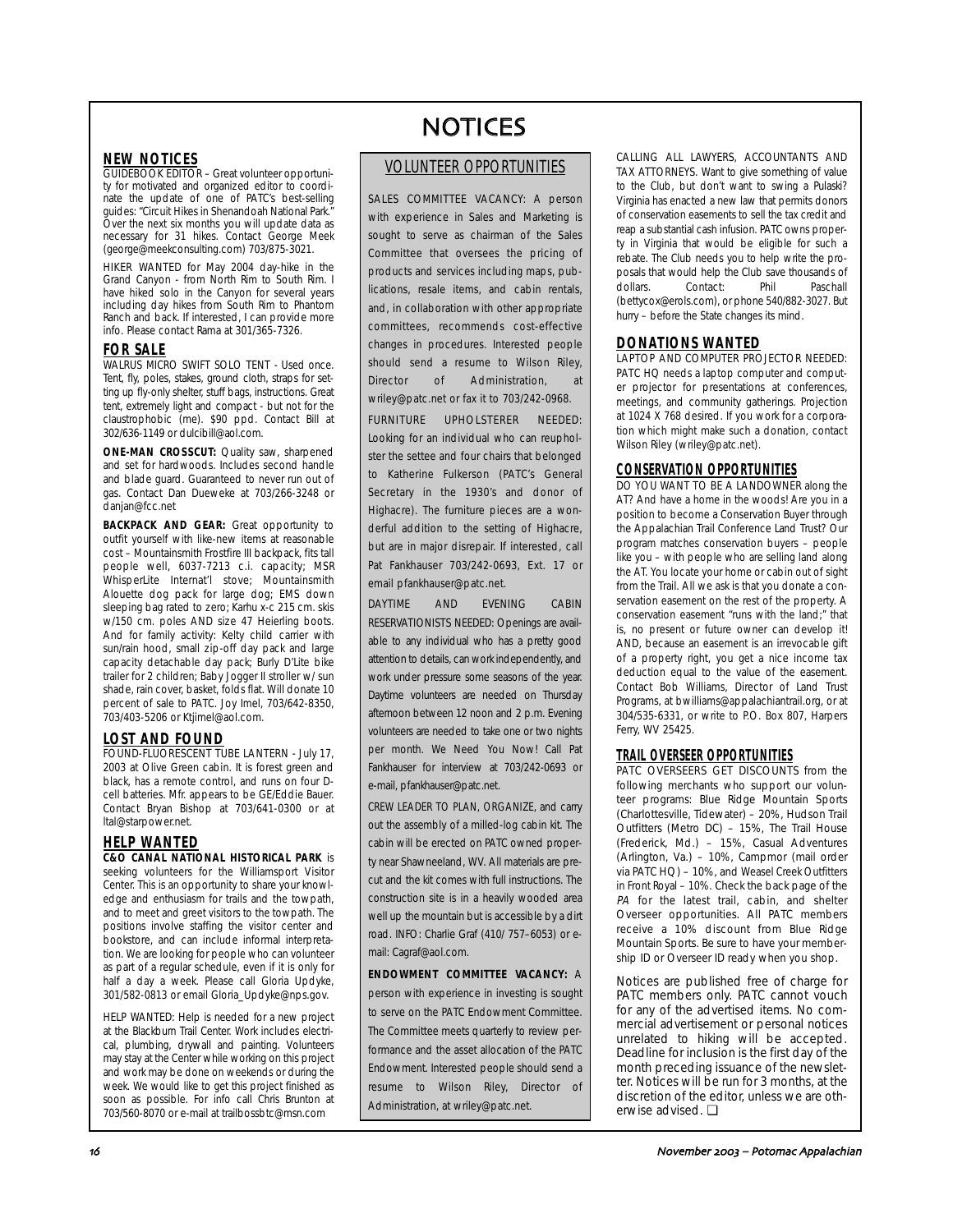# **NEW NOTICES**

**GUIDEBOOK EDITOR** – Great volunteer opportunity for motivated and organized editor to coordinate the update of one of PATC's best-selling guides: "Circuit Hikes in Shenandoah National Park." Over the next six months you will update data as necessary for 31 hikes. Contact George Meek (george@meekconsulting.com) 703/875-3021.

HIKER WANTED for May 2004 day-hike in the Grand Canyon - from North Rim to South Rim. I have hiked solo in the Canyon for several years including day hikes from South Rim to Phantom Ranch and back. If interested, I can provide more info. Please contact Rama at 301/365-7326.

### **FOR SALE**

WALRUS MICRO SWIFT SOLO TENT - Used once. Tent, fly, poles, stakes, ground cloth, straps for setting up fly-only shelter, stuff bags, instructions. Great tent, extremely light and compact - but not for the claustrophobic (me). \$90 ppd. Contact Bill at 302/636-1149 or dulcibill@aol.com.

**ONE-MAN CROSSCUT:** Quality saw, sharpened and set for hardwoods. Includes second handle and blade guard. Guaranteed to never run out of gas. Contact Dan Dueweke at 703/266-3248 or danjan@fcc.net

**BACKPACK AND GEAR:** Great opportunity to outfit yourself with like-new items at reasonable cost – Mountainsmith Frostfire III backpack, fits tall people well, 6037-7213 c.i. capacity; MSR WhisperLite Internat'l stove; Mountainsmith Alouette dog pack for large dog; EMS down sleeping bag rated to zero; Karhu x-c 215 cm. skis w/150 cm. poles AND size 47 Heierling boots. And for family activity: Kelty child carrier with sun/rain hood, small zip-off day pack and large capacity detachable day pack; Burly D'Lite bike trailer for 2 children; Baby Jogger II stroller w/ sun shade, rain cover, basket, folds flat. Will donate 10 percent of sale to PATC. Joy Imel, 703/642-8350, 703/403-5206 or Ktjimel@aol.com.

### **LOST AND FOUND**

FOUND-FLUORESCENT TUBE LANTERN - July 17, 2003 at Olive Green cabin. It is forest green and black, has a remote control, and runs on four Dcell batteries. Mfr. appears to be GE/Eddie Bauer. Contact Bryan Bishop at 703/641-0300 or at ltal@starpower.net.

# **HELP WANTED**

**C&O CANAL NATIONAL HISTORICAL PARK** is seeking volunteers for the Williamsport Visitor Center. This is an opportunity to share your knowledge and enthusiasm for trails and the towpath, and to meet and greet visitors to the towpath. The positions involve staffing the visitor center and bookstore, and can include informal interpretation. We are looking for people who can volunteer as part of a regular schedule, even if it is only for half a day a week. Please call Gloria Updyke, 301/582-0813 or email Gloria\_Updyke@nps.gov.

HELP WANTED: Help is needed for a new project at the Blackburn Trail Center. Work includes electrical, plumbing, drywall and painting. Volunteers may stay at the Center while working on this project and work may be done on weekends or during the week. We would like to get this project finished as soon as possible. For info call Chris Brunton at 703/560-8070 or e-mail at trailbossbtc@msn.com

# NOTICES

# VOLUNTEER OPPORTUNITIES

SALES COMMITTEE VACANCY: A person with experience in Sales and Marketing is sought to serve as chairman of the Sales Committee that oversees the pricing of products and services including maps, publications, resale items, and cabin rentals, and, in collaboration with other appropriate committees, recommends cost-effective changes in procedures. Interested people should send a resume to Wilson Riley, Director of Administration, at wriley@patc.net or fax it to 703/242-0968.

FURNITURE UPHOLSTERER NEEDED: Looking for an individual who can reupholster the settee and four chairs that belonged to Katherine Fulkerson (PATC's General Secretary in the 1930's and donor of Highacre). The furniture pieces are a wonderful addition to the setting of Highacre, but are in major disrepair. If interested, call Pat Fankhauser 703/242-0693, Ext. 17 or email pfankhauser@patc.net.

DAYTIME AND EVENING CABIN RESERVATIONISTS NEEDED: Openings are available to any individual who has a pretty good attention to details, can work independently, and work under pressure some seasons of the year. Daytime volunteers are needed on Thursday afternoon between 12 noon and 2 p.m. Evening volunteers are needed to take one or two nights per month. We Need You Now! Call Pat Fankhauser for interview at 703/242-0693 or e-mail, pfankhauser@patc.net.

CREW LEADER TO PLAN, ORGANIZE, and carry out the assembly of a milled-log cabin kit. The cabin will be erected on PATC owned property near Shawneeland, WV. All materials are precut and the kit comes with full instructions. The construction site is in a heavily wooded area well up the mountain but is accessible by a dirt road. INFO: Charlie Graf (410/ 757–6053) or email: Cagraf@aol.com.

**ENDOWMENT COMMITTEE VACANCY:** A person with experience in investing is sought to serve on the PATC Endowment Committee. The Committee meets quarterly to review performance and the asset allocation of the PATC Endowment. Interested people should send a resume to Wilson Riley, Director of Administration, at wriley@patc.net.

CALLING ALL LAWYERS, ACCOUNTANTS AND TAX ATTORNEYS. Want to give something of value to the Club, but don't want to swing a Pulaski? Virginia has enacted a new law that permits donors of conservation easements to sell the tax credit and reap a substantial cash infusion. PATC owns property in Virginia that would be eligible for such a rebate. The Club needs you to help write the proposals that would help the Club save thousands of dollars. Contact: Phil Paschall (bettycox@erols.com), or phone 540/882-3027. But hurry – before the State changes its mind.

# **DONATIONS WANTED**

LAPTOP AND COMPUTER PROJECTOR NEEDED: PATC HQ needs a laptop computer and computer projector for presentations at conferences, meetings, and community gatherings. Projection at 1024 X 768 desired. If you work for a corporation which might make such a donation, contact Wilson Riley (wriley@patc.net).

### **CONSERVATION OPPORTUNITIES**

DO YOU WANT TO BE A LANDOWNER along the AT? And have a home in the woods! Are you in a position to become a Conservation Buyer through the Appalachian Trail Conference Land Trust? Our program matches conservation buyers – people like you – with people who are selling land along the AT. You locate your home or cabin out of sight from the Trail. All we ask is that you donate a conservation easement on the rest of the property. A conservation easement "runs with the land;" that is, no present or future owner can develop it! AND, because an easement is an irrevocable gift of a property right, you get a nice income tax deduction equal to the value of the easement. Contact Bob Williams, Director of Land Trust Programs, at bwilliams@appalachiantrail.org, or at 304/535-6331, or write to P.O. Box 807, Harpers Ferry, WV 25425.

### **TRAIL OVERSEER OPPORTUNITIES**

PATC OVERSEERS GET DISCOUNTS from the following merchants who support our volunteer programs: Blue Ridge Mountain Sports (Charlottesville, Tidewater) – 20%, Hudson Trail Outfitters (Metro DC) – 15%, The Trail House (Frederick, Md.) – 15%, Casual Adventures (Arlington, Va.) – 10%, Campmor (mail order via PATC HQ) – 10%, and Weasel Creek Outfitters in Front Royal – 10%. Check the back page of the PA for the latest trail, cabin, and shelter Overseer opportunities. All PATC members receive a 10% discount from Blue Ridge Mountain Sports. Be sure to have your membership ID or Overseer ID ready when you shop.

Notices are published free of charge for PATC members only. PATC cannot vouch for any of the advertised items. No commercial advertisement or personal notices unrelated to hiking will be accepted. Deadline for inclusion is the first day of the month preceding issuance of the newsletter. Notices will be run for 3 months, at the discretion of the editor, unless we are otherwise advised. ❏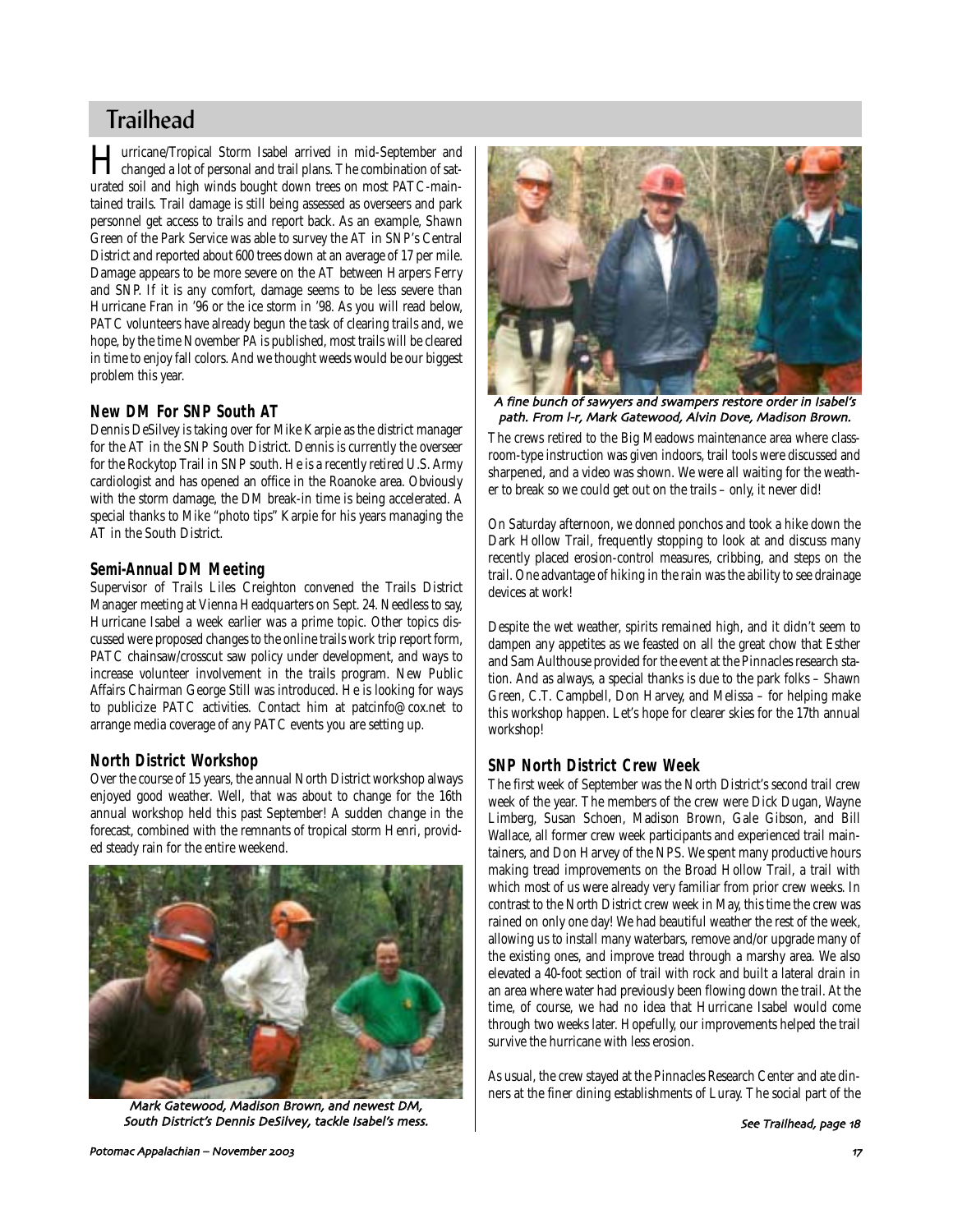# **Trailhead**

**Hurricane/Tropical Storm Isabel arrived in mid-September and<br>changed a lot of personal and trail plans. The combination of sat**urated soil and high winds bought down trees on most PATC-maintained trails. Trail damage is still being assessed as overseers and park personnel get access to trails and report back. As an example, Shawn Green of the Park Service was able to survey the AT in SNP's Central District and reported about 600 trees down at an average of 17 per mile. Damage appears to be more severe on the AT between Harpers Ferry and SNP. If it is any comfort, damage seems to be less severe than Hurricane Fran in '96 or the ice storm in '98. As you will read below, PATC volunteers have already begun the task of clearing trails and, we hope, by the time November *PA* is published, most trails will be cleared in time to enjoy fall colors. And we thought weeds would be our biggest problem this year.

# **New DM For SNP South AT**

Dennis DeSilvey is taking over for Mike Karpie as the district manager for the AT in the SNP South District. Dennis is currently the overseer for the Rockytop Trail in SNP south. He is a recently retired U.S. Army cardiologist and has opened an office in the Roanoke area. Obviously with the storm damage, the DM break-in time is being accelerated. A special thanks to Mike "photo tips" Karpie for his years managing the AT in the South District.

### **Semi-Annual DM Meeting**

Supervisor of Trails Liles Creighton convened the Trails District Manager meeting at Vienna Headquarters on Sept. 24. Needless to say, Hurricane Isabel a week earlier was a prime topic. Other topics discussed were proposed changes to the online trails work trip report form, PATC chainsaw/crosscut saw policy under development, and ways to increase volunteer involvement in the trails program. New Public Affairs Chairman George Still was introduced. He is looking for ways to publicize PATC activities. Contact him at patcinfo@cox.net to arrange media coverage of any PATC events you are setting up.

# **North District Workshop**

Over the course of 15 years, the annual North District workshop always enjoyed good weather. Well, that was about to change for the 16th annual workshop held this past September! A sudden change in the forecast, combined with the remnants of tropical storm Henri, provided steady rain for the entire weekend.



Mark Gatewood, Madison Brown, and newest DM, South District's Dennis DeSilvey, tackle Isabel's mess.



A fine bunch of sawyers and swampers restore order in Isabel's path. From I-r, Mark Gatewood, Alvin Dove, Madison Brown.

The crews retired to the Big Meadows maintenance area where classroom-type instruction was given indoors, trail tools were discussed and sharpened, and a video was shown. We were all waiting for the weather to break so we could get out on the trails – only, it never did!

On Saturday afternoon, we donned ponchos and took a hike down the Dark Hollow Trail, frequently stopping to look at and discuss many recently placed erosion-control measures, cribbing, and steps on the trail. One advantage of hiking in the rain was the ability to see drainage devices at work!

Despite the wet weather, spirits remained high, and it didn't seem to dampen any appetites as we feasted on all the great chow that Esther and Sam Aulthouse provided for the event at the Pinnacles research station. And as always, a special thanks is due to the park folks – Shawn Green, C.T. Campbell, Don Harvey, and Melissa – for helping make this workshop happen. Let's hope for clearer skies for the 17th annual workshop!

### **SNP North District Crew Week**

The first week of September was the North District's second trail crew week of the year. The members of the crew were Dick Dugan, Wayne Limberg, Susan Schoen, Madison Brown, Gale Gibson, and Bill Wallace, all former crew week participants and experienced trail maintainers, and Don Harvey of the NPS. We spent many productive hours making tread improvements on the Broad Hollow Trail, a trail with which most of us were already very familiar from prior crew weeks. In contrast to the North District crew week in May, this time the crew was rained on only one day! We had beautiful weather the rest of the week, allowing us to install many waterbars, remove and/or upgrade many of the existing ones, and improve tread through a marshy area. We also elevated a 40-foot section of trail with rock and built a lateral drain in an area where water had previously been flowing down the trail. At the time, of course, we had no idea that Hurricane Isabel would come through two weeks later. Hopefully, our improvements helped the trail survive the hurricane with less erosion.

As usual, the crew stayed at the Pinnacles Research Center and ate dinners at the finer dining establishments of Luray. The social part of the

See Trailhead, page 18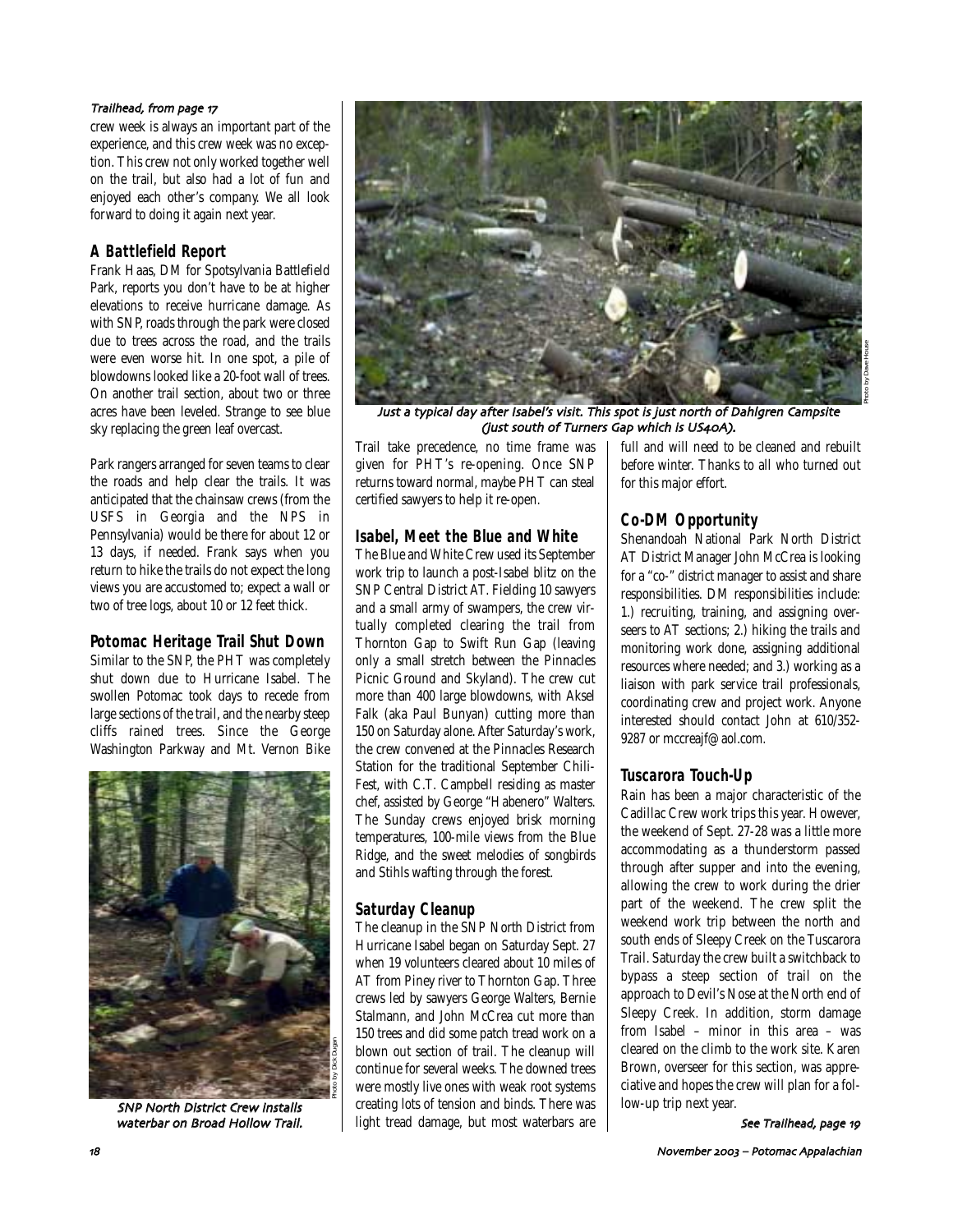### Trailhead, from page 17

crew week is always an important part of the experience, and this crew week was no exception. This crew not only worked together well on the trail, but also had a lot of fun and enjoyed each other's company. We all look forward to doing it again next year.

# **A Battlefield Report**

Frank Haas, DM for Spotsylvania Battlefield Park, reports you don't have to be at higher elevations to receive hurricane damage. As with SNP, roads through the park were closed due to trees across the road, and the trails were even worse hit. In one spot, a pile of blowdowns looked like a 20-foot wall of trees. On another trail section, about two or three acres have been leveled. Strange to see blue sky replacing the green leaf overcast.

Park rangers arranged for seven teams to clear the roads and help clear the trails. It was anticipated that the chainsaw crews (from the USFS in Georgia and the NPS in Pennsylvania) would be there for about 12 or 13 days, if needed. Frank says when you return to hike the trails do not expect the long views you are accustomed to; expect a wall or two of tree logs, about 10 or 12 feet thick.

# **Potomac Heritage Trail Shut Down**

Similar to the SNP, the PHT was completely shut down due to Hurricane Isabel. The swollen Potomac took days to recede from large sections of the trail, and the nearby steep cliffs rained trees. Since the George Washington Parkway and Mt. Vernon Bike



SNP North District Crew installs waterbar on Broad Hollow Trail.



Just a typical day after Isabel's visit& This spot is just north of Dahlgren Campsite (just south of Turners Gap which is US40A).

Trail take precedence, no time frame was given for PHT's re-opening. Once SNP returns toward normal, maybe PHT can steal certified sawyers to help it re-open.

# **Isabel, Meet the Blue and White**

The Blue and White Crew used its September work trip to launch a post-Isabel blitz on the SNP Central District AT. Fielding 10 sawyers and a small army of swampers, the crew virtually completed clearing the trail from Thornton Gap to Swift Run Gap (leaving only a small stretch between the Pinnacles Picnic Ground and Skyland). The crew cut more than 400 large blowdowns, with Aksel Falk (aka Paul Bunyan) cutting more than 150 on Saturday alone. After Saturday's work, the crew convened at the Pinnacles Research Station for the traditional September Chili-Fest, with C.T. Campbell residing as master chef, assisted by George "Habenero" Walters. The Sunday crews enjoyed brisk morning temperatures, 100-mile views from the Blue Ridge, and the sweet melodies of songbirds and Stihls wafting through the forest.

# **Saturday Cleanup**

The cleanup in the SNP North District from Hurricane Isabel began on Saturday Sept. 27 when 19 volunteers cleared about 10 miles of AT from Piney river to Thornton Gap. Three crews led by sawyers George Walters, Bernie Stalmann, and John McCrea cut more than 150 trees and did some patch tread work on a blown out section of trail. The cleanup will continue for several weeks. The downed trees were mostly live ones with weak root systems creating lots of tension and binds. There was light tread damage, but most waterbars are full and will need to be cleaned and rebuilt before winter. Thanks to all who turned out for this major effort.

# **Co-DM Opportunity**

Shenandoah National Park North District AT District Manager John McCrea is looking for a "co-" district manager to assist and share responsibilities. DM responsibilities include: 1.) recruiting, training, and assigning overseers to AT sections; 2.) hiking the trails and monitoring work done, assigning additional resources where needed; and 3.) working as a liaison with park service trail professionals, coordinating crew and project work. Anyone interested should contact John at 610/352- 9287 or mccreajf@aol.com.

# **Tuscarora Touch-Up**

Rain has been a major characteristic of the Cadillac Crew work trips this year. However, the weekend of Sept. 27-28 was a little more accommodating as a thunderstorm passed through after supper and into the evening, allowing the crew to work during the drier part of the weekend. The crew split the weekend work trip between the north and south ends of Sleepy Creek on the Tuscarora Trail. Saturday the crew built a switchback to bypass a steep section of trail on the approach to Devil's Nose at the North end of Sleepy Creek. In addition, storm damage from Isabel – minor in this area – was cleared on the climb to the work site. Karen Brown, overseer for this section, was appreciative and hopes the crew will plan for a follow-up trip next year.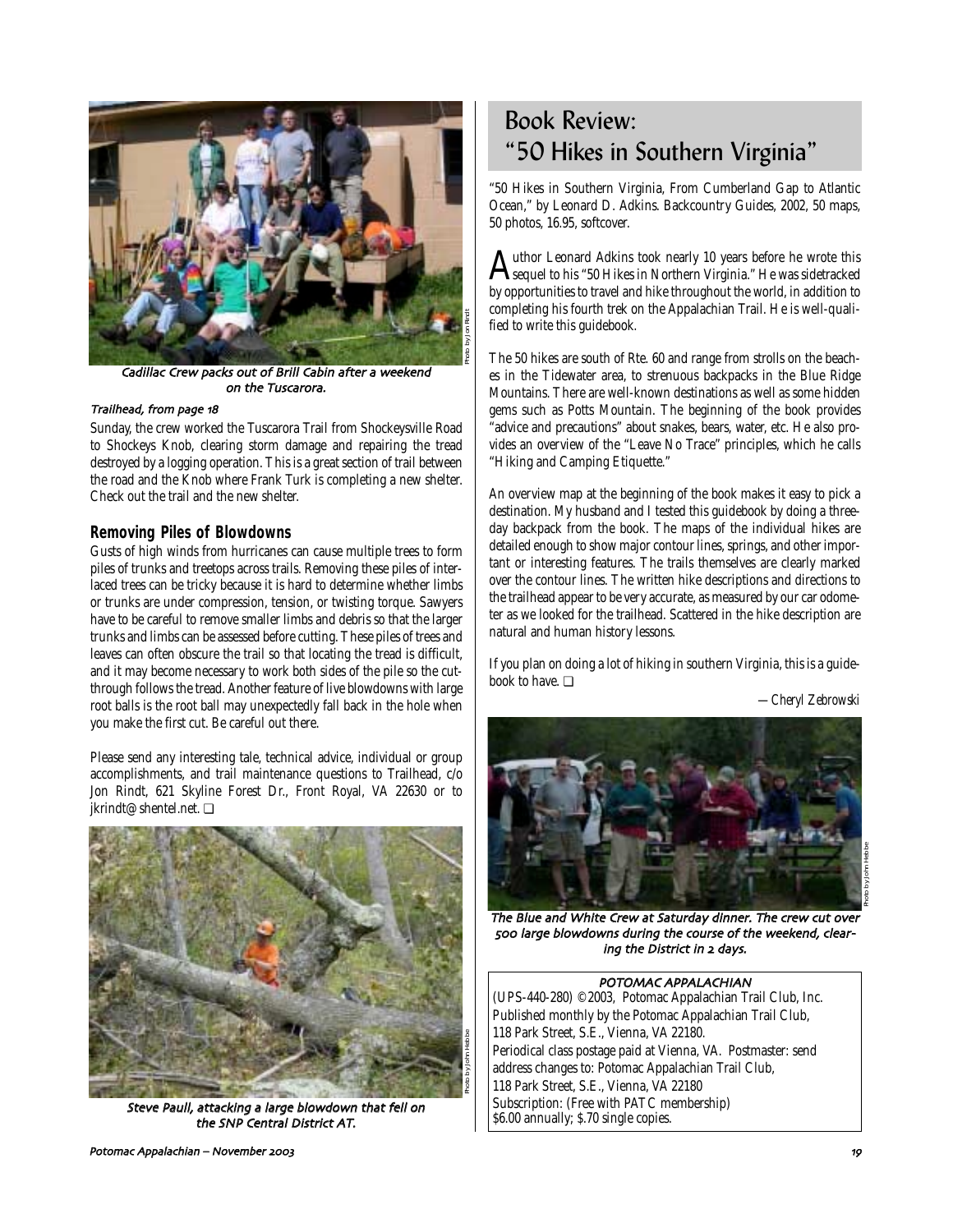

Cadillac Crew packs out of Brill Cabin after a weekend on the Tuscarora.

### Trailhead, from page 18

Sunday, the crew worked the Tuscarora Trail from Shockeysville Road to Shockeys Knob, clearing storm damage and repairing the tread destroyed by a logging operation. This is a great section of trail between the road and the Knob where Frank Turk is completing a new shelter. Check out the trail and the new shelter.

### **Removing Piles of Blowdowns**

Gusts of high winds from hurricanes can cause multiple trees to form piles of trunks and treetops across trails. Removing these piles of interlaced trees can be tricky because it is hard to determine whether limbs or trunks are under compression, tension, or twisting torque. Sawyers have to be careful to remove smaller limbs and debris so that the larger trunks and limbs can be assessed before cutting. These piles of trees and leaves can often obscure the trail so that locating the tread is difficult, and it may become necessary to work both sides of the pile so the cutthrough follows the tread. Another feature of live blowdowns with large root balls is the root ball may unexpectedly fall back in the hole when you make the first cut. Be careful out there.

Please send any interesting tale, technical advice, individual or group accomplishments, and trail maintenance questions to Trailhead, c/o Jon Rindt, 621 Skyline Forest Dr., Front Royal, VA 22630 or to jkrindt@shentel.net. ❏



Steve Paull, attacking a large blowdown that fell on the SNP Central District AT.

# Book Review: "50 Hikes in Southern Virginia"

"50 Hikes in Southern Virginia, From Cumberland Gap to Atlantic Ocean," by Leonard D. Adkins. Backcountry Guides, 2002, 50 maps, 50 photos, 16.95, softcover.

Author Leonard Adkins took nearly 10 years before he wrote this<br>sequel to his "50 Hikes in Northern Virginia." He was sidetracked<br>have a setualized to taugh and hills throughout the world in addition to by opportunities to travel and hike throughout the world, in addition to completing his fourth trek on the Appalachian Trail. He is well-qualified to write this guidebook.

The 50 hikes are south of Rte. 60 and range from strolls on the beaches in the Tidewater area, to strenuous backpacks in the Blue Ridge Mountains. There are well-known destinations as well as some hidden gems such as Potts Mountain. The beginning of the book provides "advice and precautions" about snakes, bears, water, etc. He also provides an overview of the "Leave No Trace" principles, which he calls "Hiking and Camping Etiquette."

An overview map at the beginning of the book makes it easy to pick a destination. My husband and I tested this guidebook by doing a threeday backpack from the book. The maps of the individual hikes are detailed enough to show major contour lines, springs, and other important or interesting features. The trails themselves are clearly marked over the contour lines. The written hike descriptions and directions to the trailhead appear to be very accurate, as measured by our car odometer as we looked for the trailhead. Scattered in the hike description are natural and human history lessons.

If you plan on doing a lot of hiking in southern Virginia, this is a guidebook to have. ❏

*—Cheryl Zebrowski*



The Blue and White Crew at Saturday dinner. The crew cut over 500 large blowdowns during the course of the weekend, clearing the District in 2 days.

# POTOMAC APPALACHIAN

(UPS-440-280) ©2003, Potomac Appalachian Trail Club, Inc. Published monthly by the Potomac Appalachian Trail Club, 118 Park Street, S.E., Vienna, VA 22180. Periodical class postage paid at Vienna, VA. Postmaster: send address changes to: Potomac Appalachian Trail Club, 118 Park Street, S.E., Vienna, VA 22180 Subscription: (Free with PATC membership) \$6.00 annually; \$.70 single copies.

Potomac Appalachian – November 2003 and the state of the state of the state of the state of the state of the state of the state of the state of the state of the state of the state of the state of the state of the state of